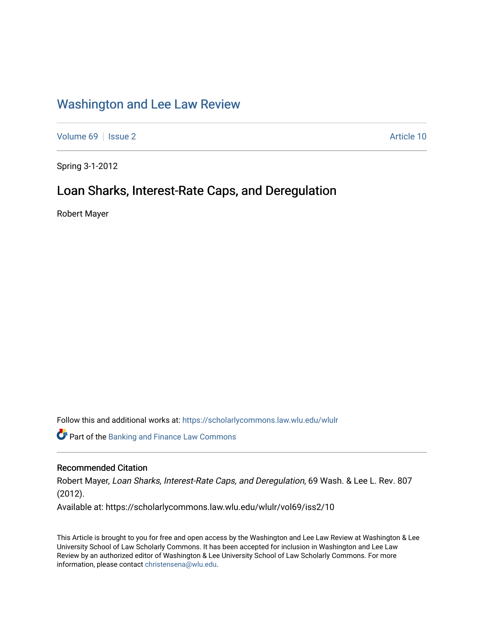# [Washington and Lee Law Review](https://scholarlycommons.law.wlu.edu/wlulr)

[Volume 69](https://scholarlycommons.law.wlu.edu/wlulr/vol69) | [Issue 2](https://scholarlycommons.law.wlu.edu/wlulr/vol69/iss2) Article 10

Spring 3-1-2012

# Loan Sharks, Interest-Rate Caps, and Deregulation

Robert Mayer

Follow this and additional works at: [https://scholarlycommons.law.wlu.edu/wlulr](https://scholarlycommons.law.wlu.edu/wlulr?utm_source=scholarlycommons.law.wlu.edu%2Fwlulr%2Fvol69%2Fiss2%2F10&utm_medium=PDF&utm_campaign=PDFCoverPages) 

**Part of the Banking and Finance Law Commons** 

# Recommended Citation

Robert Mayer, Loan Sharks, Interest-Rate Caps, and Deregulation, 69 Wash. & Lee L. Rev. 807 (2012).

Available at: https://scholarlycommons.law.wlu.edu/wlulr/vol69/iss2/10

This Article is brought to you for free and open access by the Washington and Lee Law Review at Washington & Lee University School of Law Scholarly Commons. It has been accepted for inclusion in Washington and Lee Law Review by an authorized editor of Washington & Lee University School of Law Scholarly Commons. For more information, please contact [christensena@wlu.edu](mailto:christensena@wlu.edu).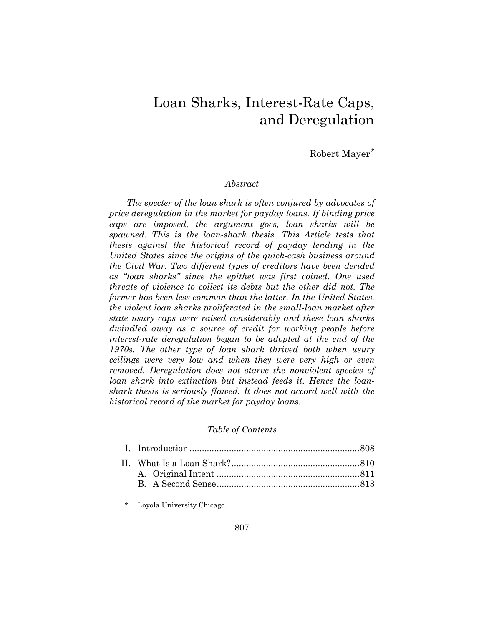# Loan Sharks, Interest-Rate Caps, and Deregulation

Robert Mayer\*

#### *Abstract*

*The specter of the loan shark is often conjured by advocates of price deregulation in the market for payday loans. If binding price caps are imposed, the argument goes, loan sharks will be spawned. This is the loan-shark thesis. This Article tests that thesis against the historical record of payday lending in the United States since the origins of the quick-cash business around the Civil War. Two different types of creditors have been derided as "loan sharks" since the epithet was first coined. One used threats of violence to collect its debts but the other did not. The former has been less common than the latter. In the United States, the violent loan sharks proliferated in the small-loan market after state usury caps were raised considerably and these loan sharks dwindled away as a source of credit for working people before interest-rate deregulation began to be adopted at the end of the 1970s. The other type of loan shark thrived both when usury ceilings were very low and when they were very high or even removed. Deregulation does not starve the nonviolent species of loan shark into extinction but instead feeds it. Hence the loanshark thesis is seriously flawed. It does not accord well with the historical record of the market for payday loans.* 

# *Table of Contents*

\* Loyola University Chicago.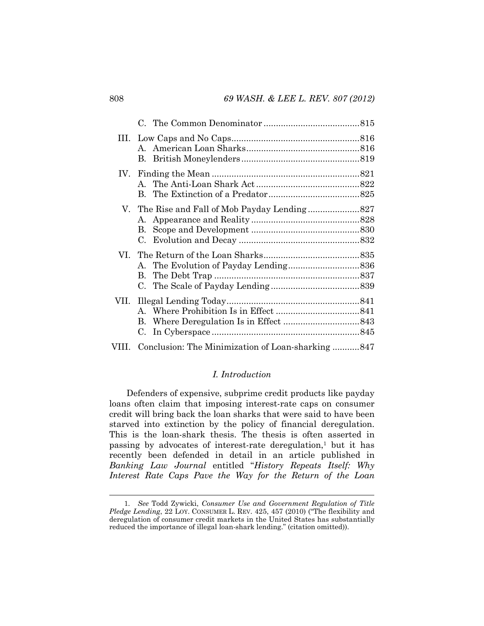| В.<br>C.                                                |  |
|---------------------------------------------------------|--|
|                                                         |  |
| В.<br>C.                                                |  |
| VIII. Conclusion: The Minimization of Loan-sharking 847 |  |

# *I. Introduction*

Defenders of expensive, subprime credit products like payday loans often claim that imposing interest-rate caps on consumer credit will bring back the loan sharks that were said to have been starved into extinction by the policy of financial deregulation. This is the loan-shark thesis. The thesis is often asserted in passing by advocates of interest-rate deregulation,<sup>1</sup> but it has recently been defended in detail in an article published in *Banking Law Journal* entitled "*History Repeats Itself: Why Interest Rate Caps Pave the Way for the Return of the Loan* 

 <sup>1</sup>*. See* Todd Zywicki, *Consumer Use and Government Regulation of Title Pledge Lending*, 22 LOY. CONSUMER L. REV. 425, 457 (2010) ("The flexibility and deregulation of consumer credit markets in the United States has substantially reduced the importance of illegal loan-shark lending." (citation omitted)).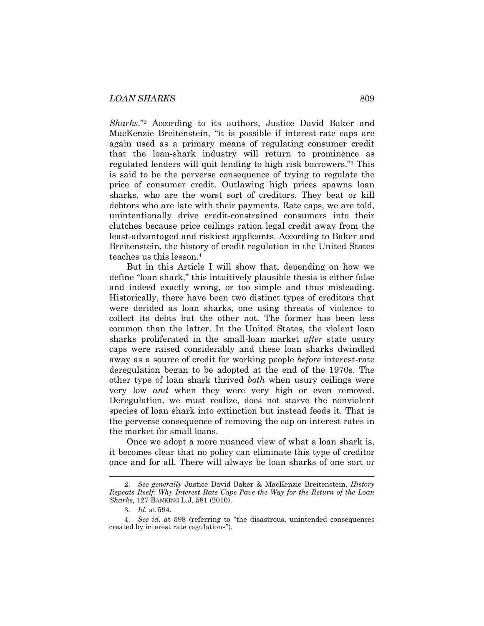*Sharks*."2 According to its authors, Justice David Baker and MacKenzie Breitenstein, "it is possible if interest-rate caps are again used as a primary means of regulating consumer credit that the loan-shark industry will return to prominence as regulated lenders will quit lending to high risk borrowers."3 This is said to be the perverse consequence of trying to regulate the price of consumer credit. Outlawing high prices spawns loan sharks, who are the worst sort of creditors. They beat or kill debtors who are late with their payments. Rate caps, we are told, unintentionally drive credit-constrained consumers into their clutches because price ceilings ration legal credit away from the least-advantaged and riskiest applicants. According to Baker and Breitenstein, the history of credit regulation in the United States teaches us this lesson.4

But in this Article I will show that, depending on how we define "loan shark," this intuitively plausible thesis is either false and indeed exactly wrong, or too simple and thus misleading. Historically, there have been two distinct types of creditors that were derided as loan sharks, one using threats of violence to collect its debts but the other not. The former has been less common than the latter. In the United States, the violent loan sharks proliferated in the small-loan market *after* state usury caps were raised considerably and these loan sharks dwindled away as a source of credit for working people *before* interest-rate deregulation began to be adopted at the end of the 1970s. The other type of loan shark thrived *both* when usury ceilings were very low *and* when they were very high or even removed. Deregulation, we must realize, does not starve the nonviolent species of loan shark into extinction but instead feeds it. That is the perverse consequence of removing the cap on interest rates in the market for small loans.

Once we adopt a more nuanced view of what a loan shark is, it becomes clear that no policy can eliminate this type of creditor once and for all. There will always be loan sharks of one sort or

 <sup>2.</sup> *See generally* Justice David Baker & MacKenzie Breitenstein, *History Repeats Itself: Why Interest Rate Caps Pave the Way for the Return of the Loan Sharks*, 127 BANKING L.J. 581 (2010).

 <sup>3.</sup> *Id.* at 594.

 <sup>4.</sup> *See id.* at 598 (referring to "the disastrous, unintended consequences created by interest rate regulations").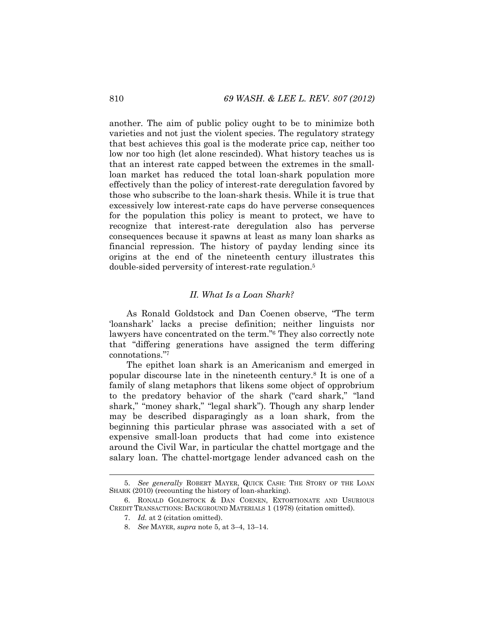another. The aim of public policy ought to be to minimize both varieties and not just the violent species. The regulatory strategy that best achieves this goal is the moderate price cap, neither too low nor too high (let alone rescinded). What history teaches us is that an interest rate capped between the extremes in the smallloan market has reduced the total loan-shark population more effectively than the policy of interest-rate deregulation favored by those who subscribe to the loan-shark thesis. While it is true that excessively low interest-rate caps do have perverse consequences for the population this policy is meant to protect, we have to recognize that interest-rate deregulation also has perverse consequences because it spawns at least as many loan sharks as financial repression. The history of payday lending since its origins at the end of the nineteenth century illustrates this double-sided perversity of interest-rate regulation.5

#### *II. What Is a Loan Shark?*

As Ronald Goldstock and Dan Coenen observe, "The term 'loanshark' lacks a precise definition; neither linguists nor lawyers have concentrated on the term."6 They also correctly note that "differing generations have assigned the term differing connotations."7

The epithet loan shark is an Americanism and emerged in popular discourse late in the nineteenth century.8 It is one of a family of slang metaphors that likens some object of opprobrium to the predatory behavior of the shark ("card shark," "land shark," "money shark," "legal shark"). Though any sharp lender may be described disparagingly as a loan shark, from the beginning this particular phrase was associated with a set of expensive small-loan products that had come into existence around the Civil War, in particular the chattel mortgage and the salary loan. The chattel-mortgage lender advanced cash on the

 <sup>5.</sup> *See generally* ROBERT MAYER, QUICK CASH: THE STORY OF THE LOAN SHARK (2010) (recounting the history of loan-sharking).

 <sup>6.</sup> RONALD GOLDSTOCK & DAN COENEN, EXTORTIONATE AND USURIOUS CREDIT TRANSACTIONS: BACKGROUND MATERIALS 1 (1978) (citation omitted).

 <sup>7.</sup> *Id.* at 2 (citation omitted).

 <sup>8.</sup> *See* MAYER, *supra* note 5, at 3–4, 13–14.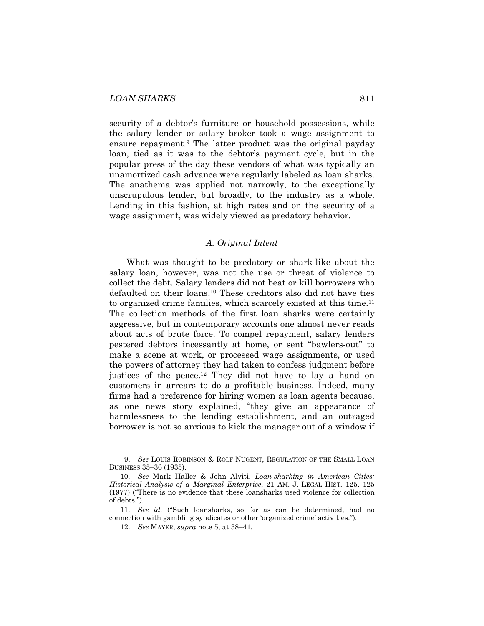security of a debtor's furniture or household possessions, while the salary lender or salary broker took a wage assignment to ensure repayment.9 The latter product was the original payday loan, tied as it was to the debtor's payment cycle, but in the popular press of the day these vendors of what was typically an unamortized cash advance were regularly labeled as loan sharks. The anathema was applied not narrowly, to the exceptionally unscrupulous lender, but broadly, to the industry as a whole. Lending in this fashion, at high rates and on the security of a wage assignment, was widely viewed as predatory behavior.

# *A. Original Intent*

What was thought to be predatory or shark-like about the salary loan, however, was not the use or threat of violence to collect the debt. Salary lenders did not beat or kill borrowers who defaulted on their loans.10 These creditors also did not have ties to organized crime families, which scarcely existed at this time.11 The collection methods of the first loan sharks were certainly aggressive, but in contemporary accounts one almost never reads about acts of brute force. To compel repayment, salary lenders pestered debtors incessantly at home, or sent "bawlers-out" to make a scene at work, or processed wage assignments, or used the powers of attorney they had taken to confess judgment before justices of the peace.12 They did not have to lay a hand on customers in arrears to do a profitable business. Indeed, many firms had a preference for hiring women as loan agents because, as one news story explained, "they give an appearance of harmlessness to the lending establishment, and an outraged borrower is not so anxious to kick the manager out of a window if

 <sup>9.</sup> *See* LOUIS ROBINSON & ROLF NUGENT, REGULATION OF THE SMALL LOAN BUSINESS 35–36 (1935).

 <sup>10.</sup> *See* Mark Haller & John Alviti, *Loan-sharking in American Cities: Historical Analysis of a Marginal Enterprise*, 21 AM. J. LEGAL HIST. 125, 125 (1977) ("There is no evidence that these loansharks used violence for collection of debts.").

 <sup>11.</sup> *See id.* ("Such loansharks, so far as can be determined, had no connection with gambling syndicates or other 'organized crime' activities.").

 <sup>12.</sup> *See* MAYER, *supra* note 5, at 38–41.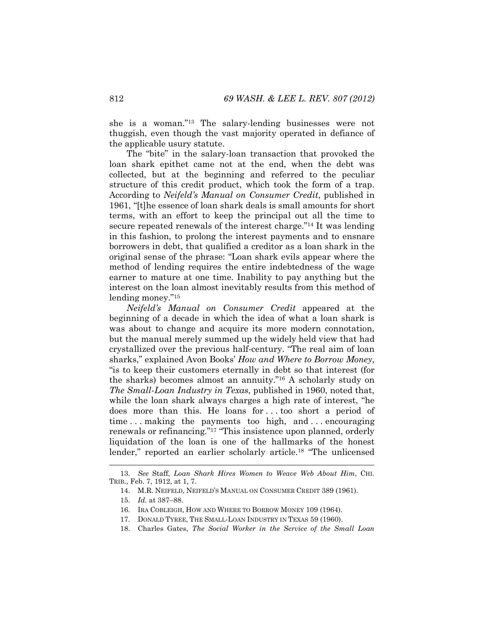she is a woman."13 The salary-lending businesses were not thuggish, even though the vast majority operated in defiance of the applicable usury statute.

The "bite" in the salary-loan transaction that provoked the loan shark epithet came not at the end, when the debt was collected, but at the beginning and referred to the peculiar structure of this credit product, which took the form of a trap. According to *Neifeld's Manual on Consumer Credit*, published in 1961, "[t]he essence of loan shark deals is small amounts for short terms, with an effort to keep the principal out all the time to secure repeated renewals of the interest charge."14 It was lending in this fashion, to prolong the interest payments and to ensnare borrowers in debt, that qualified a creditor as a loan shark in the original sense of the phrase: "Loan shark evils appear where the method of lending requires the entire indebtedness of the wage earner to mature at one time. Inability to pay anything but the interest on the loan almost inevitably results from this method of lending money."15

*Neifeld's Manual on Consumer Credit* appeared at the beginning of a decade in which the idea of what a loan shark is was about to change and acquire its more modern connotation, but the manual merely summed up the widely held view that had crystallized over the previous half-century. "The real aim of loan sharks," explained Avon Books' *How and Where to Borrow Money*, "is to keep their customers eternally in debt so that interest (for the sharks) becomes almost an annuity."16 A scholarly study on *The Small-Loan Industry in Texas*, published in 1960, noted that, while the loan shark always charges a high rate of interest, "he does more than this. He loans for . . . too short a period of time ... making the payments too high, and ... encouraging renewals or refinancing."17 "This insistence upon planned, orderly liquidation of the loan is one of the hallmarks of the honest lender," reported an earlier scholarly article.18 "The unlicensed

l

18. Charles Gates, *The Social Worker in the Service of the Small Loan* 

 <sup>13.</sup> *See* Staff, *Loan Shark Hires Women to Weave Web About Him*, CHI. TRIB., Feb. 7, 1912, at 1, 7.

 <sup>14.</sup> M.R. NEIFELD, NEIFELD'S MANUAL ON CONSUMER CREDIT 389 (1961).

 <sup>15.</sup> *Id.* at 387–88.

 <sup>16.</sup> IRA COBLEIGH, HOW AND WHERE TO BORROW MONEY 109 (1964).

 <sup>17.</sup> DONALD TYREE, THE SMALL-LOAN INDUSTRY IN TEXAS 59 (1960).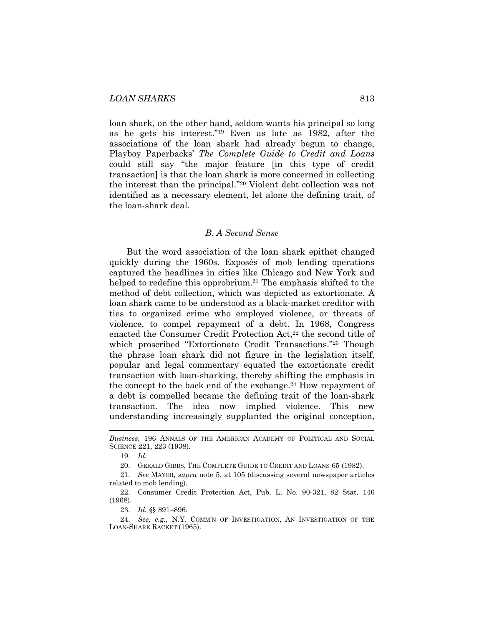loan shark, on the other hand, seldom wants his principal so long as he gets his interest."19 Even as late as 1982, after the associations of the loan shark had already begun to change, Playboy Paperbacks' *The Complete Guide to Credit and Loans* could still say "the major feature [in this type of credit transaction] is that the loan shark is more concerned in collecting the interest than the principal."20 Violent debt collection was not identified as a necessary element, let alone the defining trait, of the loan-shark deal.

#### *B. A Second Sense*

But the word association of the loan shark epithet changed quickly during the 1960s. Exposés of mob lending operations captured the headlines in cities like Chicago and New York and helped to redefine this opprobrium.<sup>21</sup> The emphasis shifted to the method of debt collection, which was depicted as extortionate. A loan shark came to be understood as a black-market creditor with ties to organized crime who employed violence, or threats of violence, to compel repayment of a debt. In 1968, Congress enacted the Consumer Credit Protection Act,<sup>22</sup> the second title of which proscribed "Extortionate Credit Transactions."<sup>23</sup> Though the phrase loan shark did not figure in the legislation itself, popular and legal commentary equated the extortionate credit transaction with loan-sharking, thereby shifting the emphasis in the concept to the back end of the exchange.<sup>24</sup> How repayment of a debt is compelled became the defining trait of the loan-shark transaction. The idea now implied violence. This new understanding increasingly supplanted the original conception,

l

20. GERALD GIBBS, THE COMPLETE GUIDE TO CREDIT AND LOANS 65 (1982).

23. *Id.* §§ 891–896.

*Business*, 196 ANNALS OF THE AMERICAN ACADEMY OF POLITICAL AND SOCIAL SCIENCE 221, 223 (1938).

 <sup>19.</sup> *Id.* 

 <sup>21.</sup> *See* MAYER, *supra* note 5, at 105 (discussing several newspaper articles related to mob lending).

 <sup>22.</sup> Consumer Credit Protection Act, Pub. L. No. 90-321, 82 Stat. 146 (1968).

 <sup>24.</sup> *See, e.g.*, N.Y. COMM'N OF INVESTIGATION, AN INVESTIGATION OF THE LOAN-SHARK RACKET (1965).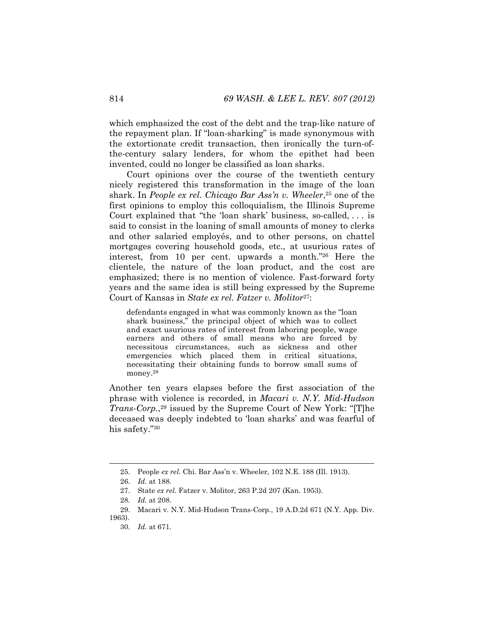which emphasized the cost of the debt and the trap-like nature of the repayment plan. If "loan-sharking" is made synonymous with the extortionate credit transaction, then ironically the turn-ofthe-century salary lenders, for whom the epithet had been invented, could no longer be classified as loan sharks.

Court opinions over the course of the twentieth century nicely registered this transformation in the image of the loan shark. In *People ex rel. Chicago Bar Ass'n v. Wheeler*,25 one of the first opinions to employ this colloquialism, the Illinois Supreme Court explained that "the 'loan shark' business, so-called, . . . is said to consist in the loaning of small amounts of money to clerks and other salaried employés, and to other persons, on chattel mortgages covering household goods, etc., at usurious rates of interest, from 10 per cent. upwards a month."26 Here the clientele, the nature of the loan product, and the cost are emphasized; there is no mention of violence. Fast-forward forty years and the same idea is still being expressed by the Supreme Court of Kansas in *State ex rel. Fatzer v. Molitor*27:

defendants engaged in what was commonly known as the "loan shark business," the principal object of which was to collect and exact usurious rates of interest from laboring people, wage earners and others of small means who are forced by necessitous circumstances, such as sickness and other emergencies which placed them in critical situations, necessitating their obtaining funds to borrow small sums of money.<sup>28</sup>

Another ten years elapses before the first association of the phrase with violence is recorded, in *Macari v. N.Y. Mid-Hudson Trans-Corp.*,<sup>29</sup> issued by the Supreme Court of New York: "[T]he deceased was deeply indebted to 'loan sharks' and was fearful of his safety."30

 <sup>25.</sup> People *ex rel.* Chi. Bar Ass'n v. Wheeler, 102 N.E. 188 (Ill. 1913).

 <sup>26.</sup> *Id.* at 188*.* 

 <sup>27.</sup> State *ex rel.* Fatzer v. Molitor, 263 P.2d 207 (Kan. 1953).

 <sup>28.</sup> *Id.* at 208.

 <sup>29.</sup> Macari v. N.Y. Mid-Hudson Trans-Corp., 19 A.D.2d 671 (N.Y. App. Div. 1963).

 <sup>30.</sup> *Id.* at 671*.*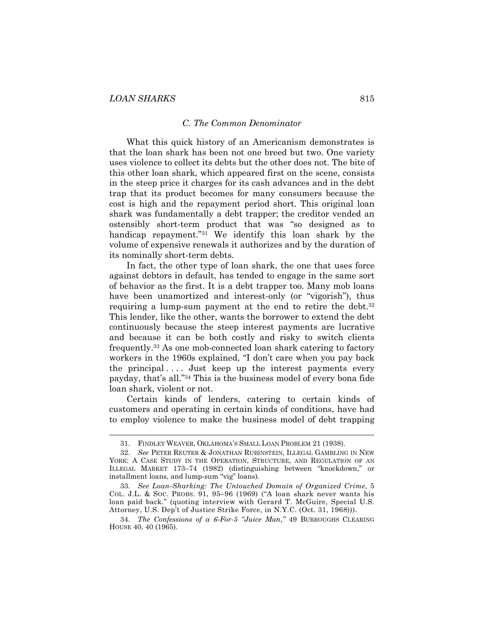l

#### *C. The Common Denominator*

What this quick history of an Americanism demonstrates is that the loan shark has been not one breed but two. One variety uses violence to collect its debts but the other does not. The bite of this other loan shark, which appeared first on the scene, consists in the steep price it charges for its cash advances and in the debt trap that its product becomes for many consumers because the cost is high and the repayment period short. This original loan shark was fundamentally a debt trapper; the creditor vended an ostensibly short-term product that was "so designed as to handicap repayment."31 We identify this loan shark by the volume of expensive renewals it authorizes and by the duration of its nominally short-term debts.

In fact, the other type of loan shark, the one that uses force against debtors in default, has tended to engage in the same sort of behavior as the first. It is a debt trapper too. Many mob loans have been unamortized and interest-only (or "vigorish"), thus requiring a lump-sum payment at the end to retire the debt.<sup>32</sup> This lender, like the other, wants the borrower to extend the debt continuously because the steep interest payments are lucrative and because it can be both costly and risky to switch clients frequently.33 As one mob-connected loan shark catering to factory workers in the 1960s explained, "I don't care when you pay back the principal  $\dots$  Just keep up the interest payments every payday, that's all."34 This is the business model of every bona fide loan shark, violent or not.

Certain kinds of lenders, catering to certain kinds of customers and operating in certain kinds of conditions, have had to employ violence to make the business model of debt trapping

 <sup>31.</sup> FINDLEY WEAVER, OKLAHOMA'S SMALL LOAN PROBLEM 21 (1938).

 <sup>32.</sup> *See* PETER REUTER & JONATHAN RUBINSTEIN, ILLEGAL GAMBLING IN NEW YORK: A CASE STUDY IN THE OPERATION, STRUCTURE, AND REGULATION OF AN ILLEGAL MARKET 173–74 (1982) (distinguishing between "knockdown," or installment loans, and lump-sum "vig" loans).

 <sup>33.</sup> *See Loan-Sharking: The Untouched Domain of Organized Crime*, 5 COL. J.L. & SOC. PROBS. 91, 95–96 (1969) ("A loan shark never wants his loan paid back." (quoting interview with Gerard T. McGuire, Special U.S. Attorney, U.S. Dep't of Justice Strike Force, in N.Y.C. (Oct. 31, 1968))).

 <sup>34.</sup> *The Confessions of a 6-For-5 "Juice Man*,*"* 49 BURROUGHS CLEARING HOUSE 40, 40 (1965).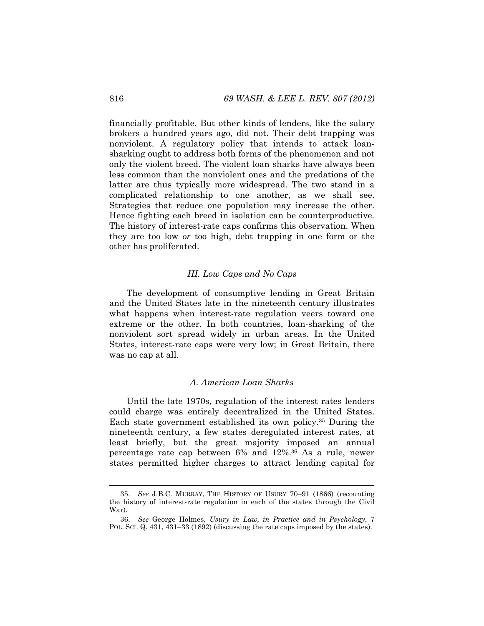financially profitable. But other kinds of lenders, like the salary brokers a hundred years ago, did not. Their debt trapping was nonviolent. A regulatory policy that intends to attack loansharking ought to address both forms of the phenomenon and not only the violent breed. The violent loan sharks have always been less common than the nonviolent ones and the predations of the latter are thus typically more widespread. The two stand in a complicated relationship to one another, as we shall see. Strategies that reduce one population may increase the other. Hence fighting each breed in isolation can be counterproductive. The history of interest-rate caps confirms this observation. When they are too low *or* too high, debt trapping in one form or the other has proliferated.

#### *III. Low Caps and No Caps*

The development of consumptive lending in Great Britain and the United States late in the nineteenth century illustrates what happens when interest-rate regulation veers toward one extreme or the other. In both countries, loan-sharking of the nonviolent sort spread widely in urban areas. In the United States, interest-rate caps were very low; in Great Britain, there was no cap at all.

# *A. American Loan Sharks*

Until the late 1970s, regulation of the interest rates lenders could charge was entirely decentralized in the United States. Each state government established its own policy.35 During the nineteenth century, a few states deregulated interest rates, at least briefly, but the great majority imposed an annual percentage rate cap between 6% and 12%.36 As a rule, newer states permitted higher charges to attract lending capital for

 <sup>35.</sup> *See* J.B.C. MURRAY, THE HISTORY OF USURY 70–91 (1866) (recounting the history of interest-rate regulation in each of the states through the Civil War).

 <sup>36.</sup> *See* George Holmes, *Usury in Law, in Practice and in Psychology*, 7 POL. SCI. Q. 431, 431–33 (1892) (discussing the rate caps imposed by the states).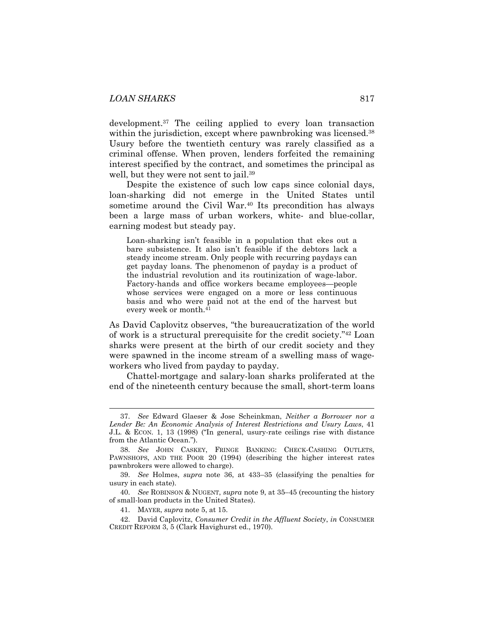development.37 The ceiling applied to every loan transaction within the jurisdiction, except where pawnbroking was licensed.<sup>38</sup> Usury before the twentieth century was rarely classified as a criminal offense. When proven, lenders forfeited the remaining interest specified by the contract, and sometimes the principal as well, but they were not sent to jail.<sup>39</sup>

Despite the existence of such low caps since colonial days, loan-sharking did not emerge in the United States until sometime around the Civil War.<sup>40</sup> Its precondition has always been a large mass of urban workers, white- and blue-collar, earning modest but steady pay.

Loan-sharking isn't feasible in a population that ekes out a bare subsistence. It also isn't feasible if the debtors lack a steady income stream. Only people with recurring paydays can get payday loans. The phenomenon of payday is a product of the industrial revolution and its routinization of wage-labor. Factory-hands and office workers became employees—people whose services were engaged on a more or less continuous basis and who were paid not at the end of the harvest but every week or month.41

As David Caplovitz observes, "the bureaucratization of the world of work is a structural prerequisite for the credit society."42 Loan sharks were present at the birth of our credit society and they were spawned in the income stream of a swelling mass of wageworkers who lived from payday to payday.

Chattel-mortgage and salary-loan sharks proliferated at the end of the nineteenth century because the small, short-term loans

 <sup>37.</sup> *See* Edward Glaeser & Jose Scheinkman, *Neither a Borrower nor a Lender Be: An Economic Analysis of Interest Restrictions and Usury Laws*, 41 J.L. & ECON. 1, 13 (1998) ("In general, usury-rate ceilings rise with distance from the Atlantic Ocean.").

 <sup>38.</sup> *See* JOHN CASKEY, FRINGE BANKING: CHECK-CASHING OUTLETS, PAWNSHOPS, AND THE POOR 20 (1994) (describing the higher interest rates pawnbrokers were allowed to charge).

 <sup>39.</sup> *See* Holmes, *supra* note 36, at 433–35 (classifying the penalties for usury in each state).

 <sup>40.</sup> *See* ROBINSON & NUGENT, *supra* note 9, at 35–45 (recounting the history of small-loan products in the United States).

 <sup>41.</sup> MAYER, *supra* note 5, at 15.

 <sup>42.</sup> David Caplovitz, *Consumer Credit in the Affluent Society*, *in* CONSUMER CREDIT REFORM 3, 5 (Clark Havighurst ed., 1970).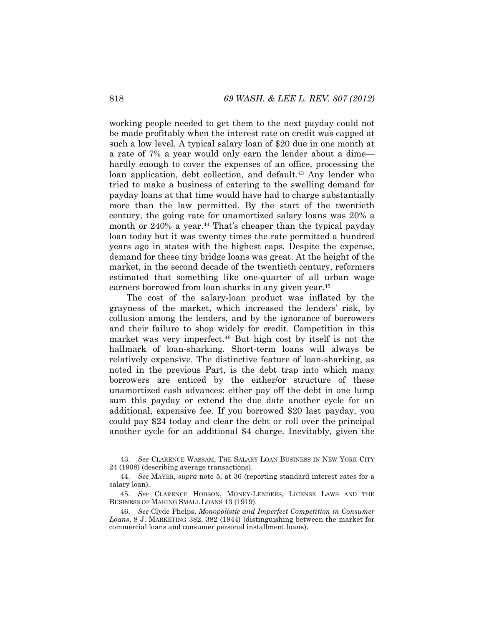working people needed to get them to the next payday could not be made profitably when the interest rate on credit was capped at such a low level. A typical salary loan of \$20 due in one month at a rate of 7% a year would only earn the lender about a dime hardly enough to cover the expenses of an office, processing the loan application, debt collection, and default.<sup>43</sup> Any lender who tried to make a business of catering to the swelling demand for payday loans at that time would have had to charge substantially more than the law permitted. By the start of the twentieth century, the going rate for unamortized salary loans was 20% a month or 240% a year.<sup>44</sup> That's cheaper than the typical payday loan today but it was twenty times the rate permitted a hundred years ago in states with the highest caps. Despite the expense, demand for these tiny bridge loans was great. At the height of the market, in the second decade of the twentieth century, reformers estimated that something like one-quarter of all urban wage earners borrowed from loan sharks in any given year.45

The cost of the salary-loan product was inflated by the grayness of the market, which increased the lenders' risk, by collusion among the lenders, and by the ignorance of borrowers and their failure to shop widely for credit. Competition in this market was very imperfect.46 But high cost by itself is not the hallmark of loan-sharking. Short-term loans will always be relatively expensive. The distinctive feature of loan-sharking, as noted in the previous Part, is the debt trap into which many borrowers are enticed by the either/or structure of these unamortized cash advances: either pay off the debt in one lump sum this payday or extend the due date another cycle for an additional, expensive fee. If you borrowed \$20 last payday, you could pay \$24 today and clear the debt or roll over the principal another cycle for an additional \$4 charge. Inevitably, given the

 <sup>43.</sup> *See* CLARENCE WASSAM, THE SALARY LOAN BUSINESS IN NEW YORK CITY 24 (1908) (describing average transactions).

 <sup>44.</sup> *See* MAYER, *supra* note 5, at 36 (reporting standard interest rates for a salary loan).

 <sup>45.</sup> *See* CLARENCE HODSON, MONEY-LENDERS, LICENSE LAWS AND THE BUSINESS OF MAKING SMALL LOANS 13 (1919).

 <sup>46.</sup> *See* Clyde Phelps, *Monopolistic and Imperfect Competition in Consumer Loans*, 8 J. MARKETING 382, 382 (1944) (distinguishing between the market for commercial loans and consumer personal installment loans).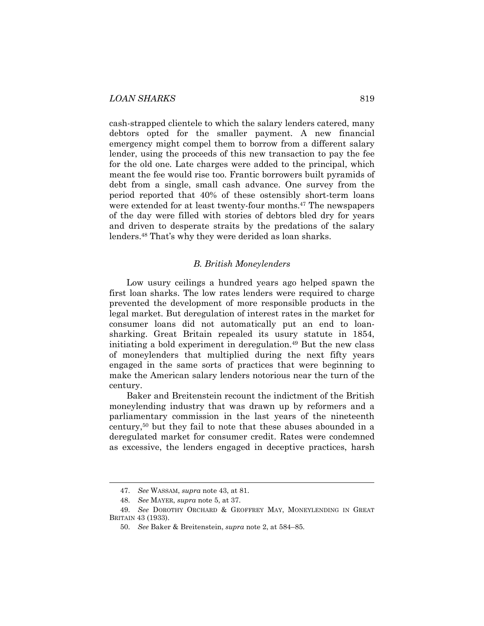cash-strapped clientele to which the salary lenders catered, many debtors opted for the smaller payment. A new financial emergency might compel them to borrow from a different salary lender, using the proceeds of this new transaction to pay the fee for the old one. Late charges were added to the principal, which meant the fee would rise too. Frantic borrowers built pyramids of debt from a single, small cash advance. One survey from the period reported that 40% of these ostensibly short-term loans were extended for at least twenty-four months.<sup>47</sup> The newspapers of the day were filled with stories of debtors bled dry for years and driven to desperate straits by the predations of the salary lenders.48 That's why they were derided as loan sharks.

#### *B. British Moneylenders*

Low usury ceilings a hundred years ago helped spawn the first loan sharks. The low rates lenders were required to charge prevented the development of more responsible products in the legal market. But deregulation of interest rates in the market for consumer loans did not automatically put an end to loansharking. Great Britain repealed its usury statute in 1854, initiating a bold experiment in deregulation.49 But the new class of moneylenders that multiplied during the next fifty years engaged in the same sorts of practices that were beginning to make the American salary lenders notorious near the turn of the century.

Baker and Breitenstein recount the indictment of the British moneylending industry that was drawn up by reformers and a parliamentary commission in the last years of the nineteenth century,50 but they fail to note that these abuses abounded in a deregulated market for consumer credit. Rates were condemned as excessive, the lenders engaged in deceptive practices, harsh

 <sup>47.</sup> *See* WASSAM, *supra* note 43, at 81.

 <sup>48.</sup> *See* MAYER, *supra* note 5, at 37.

 <sup>49.</sup> *See* DOROTHY ORCHARD & GEOFFREY MAY, MONEYLENDING IN GREAT BRITAIN 43 (1933).

 <sup>50.</sup> *See* Baker & Breitenstein, *supra* note 2, at 584–85.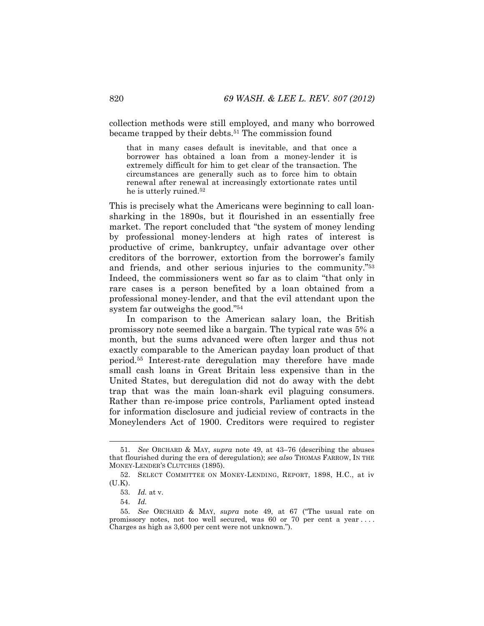collection methods were still employed, and many who borrowed became trapped by their debts.<sup>51</sup> The commission found

that in many cases default is inevitable, and that once a borrower has obtained a loan from a money-lender it is extremely difficult for him to get clear of the transaction. The circumstances are generally such as to force him to obtain renewal after renewal at increasingly extortionate rates until he is utterly ruined.52

This is precisely what the Americans were beginning to call loansharking in the 1890s, but it flourished in an essentially free market. The report concluded that "the system of money lending by professional money-lenders at high rates of interest is productive of crime, bankruptcy, unfair advantage over other creditors of the borrower, extortion from the borrower's family and friends, and other serious injuries to the community."53 Indeed, the commissioners went so far as to claim "that only in rare cases is a person benefited by a loan obtained from a professional money-lender, and that the evil attendant upon the system far outweighs the good."54

In comparison to the American salary loan, the British promissory note seemed like a bargain. The typical rate was 5% a month, but the sums advanced were often larger and thus not exactly comparable to the American payday loan product of that period.55 Interest-rate deregulation may therefore have made small cash loans in Great Britain less expensive than in the United States, but deregulation did not do away with the debt trap that was the main loan-shark evil plaguing consumers. Rather than re-impose price controls, Parliament opted instead for information disclosure and judicial review of contracts in the Moneylenders Act of 1900. Creditors were required to register

 <sup>51.</sup> *See* ORCHARD & MAY, *supra* note 49, at 43–76 (describing the abuses that flourished during the era of deregulation); *see also* THOMAS FARROW, IN THE MONEY-LENDER'S CLUTCHES (1895).

 <sup>52.</sup> SELECT COMMITTEE ON MONEY-LENDING, REPORT, 1898, H.C., at iv (U.K).

 <sup>53.</sup> *Id.* at v.

 <sup>54.</sup> *Id.*

 <sup>55.</sup> *See* ORCHARD & MAY, *supra* note 49, at 67 ("The usual rate on promissory notes, not too well secured, was 60 or 70 per cent a year . . . . Charges as high as 3,600 per cent were not unknown.").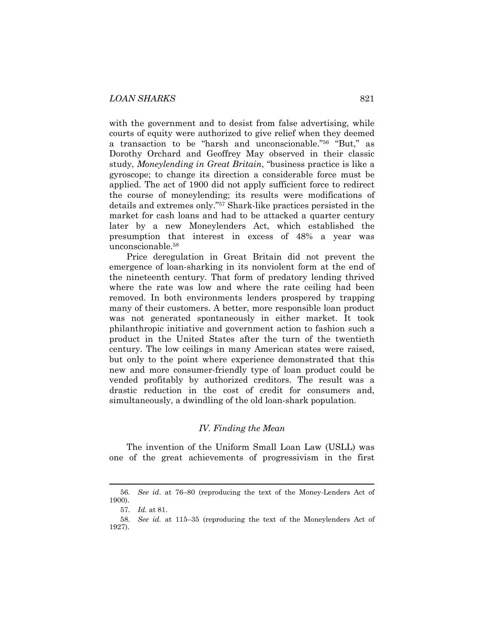with the government and to desist from false advertising, while courts of equity were authorized to give relief when they deemed a transaction to be "harsh and unconscionable."56 "But," as Dorothy Orchard and Geoffrey May observed in their classic study, *Moneylending in Great Britain*, "business practice is like a gyroscope; to change its direction a considerable force must be applied. The act of 1900 did not apply sufficient force to redirect the course of moneylending; its results were modifications of details and extremes only."57 Shark-like practices persisted in the market for cash loans and had to be attacked a quarter century later by a new Moneylenders Act, which established the presumption that interest in excess of 48% a year was unconscionable.58

Price deregulation in Great Britain did not prevent the emergence of loan-sharking in its nonviolent form at the end of the nineteenth century. That form of predatory lending thrived where the rate was low and where the rate ceiling had been removed. In both environments lenders prospered by trapping many of their customers. A better, more responsible loan product was not generated spontaneously in either market. It took philanthropic initiative and government action to fashion such a product in the United States after the turn of the twentieth century. The low ceilings in many American states were raised, but only to the point where experience demonstrated that this new and more consumer-friendly type of loan product could be vended profitably by authorized creditors. The result was a drastic reduction in the cost of credit for consumers and, simultaneously, a dwindling of the old loan-shark population.

#### *IV. Finding the Mean*

The invention of the Uniform Small Loan Law (USLL) was one of the great achievements of progressivism in the first

 <sup>56.</sup> *See id*. at 76–80 (reproducing the text of the Money-Lenders Act of 1900).

 <sup>57.</sup> *Id.* at 81.

 <sup>58.</sup> *See id.* at 115–35 (reproducing the text of the Moneylenders Act of 1927).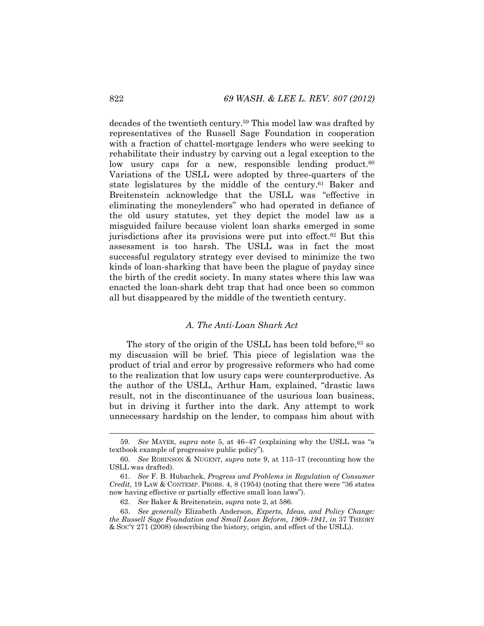decades of the twentieth century.59 This model law was drafted by representatives of the Russell Sage Foundation in cooperation with a fraction of chattel-mortgage lenders who were seeking to rehabilitate their industry by carving out a legal exception to the low usury caps for a new, responsible lending product.<sup>60</sup> Variations of the USLL were adopted by three-quarters of the state legislatures by the middle of the century.<sup>61</sup> Baker and Breitenstein acknowledge that the USLL was "effective in eliminating the moneylenders" who had operated in defiance of the old usury statutes, yet they depict the model law as a misguided failure because violent loan sharks emerged in some jurisdictions after its provisions were put into effect.62 But this assessment is too harsh. The USLL was in fact the most successful regulatory strategy ever devised to minimize the two kinds of loan-sharking that have been the plague of payday since the birth of the credit society. In many states where this law was enacted the loan-shark debt trap that had once been so common all but disappeared by the middle of the twentieth century.

# *A. The Anti-Loan Shark Act*

The story of the origin of the USLL has been told before,  $63$  so my discussion will be brief. This piece of legislation was the product of trial and error by progressive reformers who had come to the realization that low usury caps were counterproductive. As the author of the USLL, Arthur Ham, explained, "drastic laws result, not in the discontinuance of the usurious loan business, but in driving it further into the dark. Any attempt to work unnecessary hardship on the lender, to compass him about with

 <sup>59.</sup> *See* MAYER, *supra* note 5, at 46–47 (explaining why the USLL was "a textbook example of progressive public policy").

 <sup>60.</sup> *See* ROBINSON & NUGENT, *supra* note 9, at 113–17 (recounting how the USLL was drafted).

 <sup>61.</sup> *See* F. B. Hubachek, *Progress and Problems in Regulation of Consumer Credit*, 19 LAW & CONTEMP. PROBS. 4, 8 (1954) (noting that there were "36 states now having effective or partially effective small loan laws").

 <sup>62.</sup> *See* Baker & Breitenstein, *supra* note 2, at 586.

 <sup>63.</sup> *See generally* Elizabeth Anderson, *Experts, Ideas, and Policy Change: the Russell Sage Foundation and Small Loan Reform, 1909–1941*, *in* 37 THEORY & SOC'Y 271 (2008) (describing the history, origin, and effect of the USLL).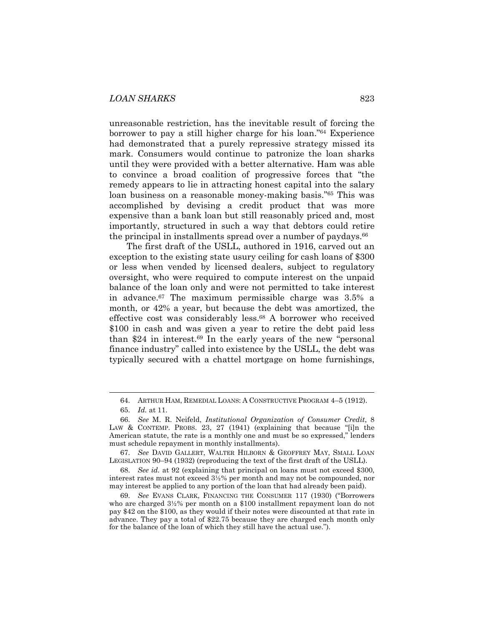unreasonable restriction, has the inevitable result of forcing the borrower to pay a still higher charge for his loan."64 Experience had demonstrated that a purely repressive strategy missed its mark. Consumers would continue to patronize the loan sharks until they were provided with a better alternative. Ham was able to convince a broad coalition of progressive forces that "the remedy appears to lie in attracting honest capital into the salary loan business on a reasonable money-making basis."65 This was accomplished by devising a credit product that was more expensive than a bank loan but still reasonably priced and, most importantly, structured in such a way that debtors could retire the principal in installments spread over a number of paydays.<sup>66</sup>

The first draft of the USLL, authored in 1916, carved out an exception to the existing state usury ceiling for cash loans of \$300 or less when vended by licensed dealers, subject to regulatory oversight, who were required to compute interest on the unpaid balance of the loan only and were not permitted to take interest in advance.67 The maximum permissible charge was 3.5% a month, or 42% a year, but because the debt was amortized, the effective cost was considerably less.68 A borrower who received \$100 in cash and was given a year to retire the debt paid less than \$24 in interest.69 In the early years of the new "personal finance industry" called into existence by the USLL, the debt was typically secured with a chattel mortgage on home furnishings,

 <sup>64.</sup> ARTHUR HAM, REMEDIAL LOANS: A CONSTRUCTIVE PROGRAM 4–5 (1912).

 <sup>65.</sup> *Id.* at 11.

 <sup>66.</sup> *See* M. R. Neifeld, *Institutional Organization of Consumer Credit*, 8 LAW & CONTEMP. PROBS. 23, 27 (1941) (explaining that because "[i]n the American statute, the rate is a monthly one and must be so expressed," lenders must schedule repayment in monthly installments).

 <sup>67.</sup> *See* DAVID GALLERT, WALTER HILBORN & GEOFFREY MAY, SMALL LOAN LEGISLATION 90–94 (1932) (reproducing the text of the first draft of the USLL).

 <sup>68.</sup> *See id.* at 92 (explaining that principal on loans must not exceed \$300, interest rates must not exceed 3½% per month and may not be compounded, nor may interest be applied to any portion of the loan that had already been paid).

 <sup>69.</sup> *See* EVANS CLARK, FINANCING THE CONSUMER 117 (1930) ("Borrowers who are charged 3½% per month on a \$100 installment repayment loan do not pay \$42 on the \$100, as they would if their notes were discounted at that rate in advance. They pay a total of \$22.75 because they are charged each month only for the balance of the loan of which they still have the actual use.").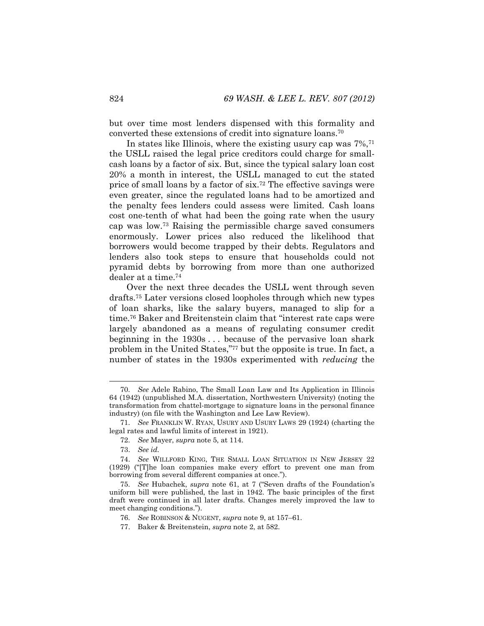but over time most lenders dispensed with this formality and converted these extensions of credit into signature loans.70

In states like Illinois, where the existing usury cap was 7%,71 the USLL raised the legal price creditors could charge for smallcash loans by a factor of six. But, since the typical salary loan cost 20% a month in interest, the USLL managed to cut the stated price of small loans by a factor of six.72 The effective savings were even greater, since the regulated loans had to be amortized and the penalty fees lenders could assess were limited. Cash loans cost one-tenth of what had been the going rate when the usury cap was low.73 Raising the permissible charge saved consumers enormously. Lower prices also reduced the likelihood that borrowers would become trapped by their debts. Regulators and lenders also took steps to ensure that households could not pyramid debts by borrowing from more than one authorized dealer at a time.74

Over the next three decades the USLL went through seven drafts.75 Later versions closed loopholes through which new types of loan sharks, like the salary buyers, managed to slip for a time.76 Baker and Breitenstein claim that "interest rate caps were largely abandoned as a means of regulating consumer credit beginning in the 1930s . . . because of the pervasive loan shark problem in the United States,"77 but the opposite is true. In fact, a number of states in the 1930s experimented with *reducing* the

 <sup>70.</sup> *See* Adele Rabino, The Small Loan Law and Its Application in Illinois 64 (1942) (unpublished M.A. dissertation, Northwestern University) (noting the transformation from chattel-mortgage to signature loans in the personal finance industry) (on file with the Washington and Lee Law Review).

 <sup>71.</sup> *See* FRANKLIN W. RYAN, USURY AND USURY LAWS 29 (1924) (charting the legal rates and lawful limits of interest in 1921).

 <sup>72.</sup> *See* Mayer, *supra* note 5, at 114.

 <sup>73.</sup> *See id.* 

 <sup>74.</sup> *See* WILLFORD KING, THE SMALL LOAN SITUATION IN NEW JERSEY 22 (1929) ("[T]he loan companies make every effort to prevent one man from borrowing from several different companies at once.").

 <sup>75.</sup> *See* Hubachek, *supra* note 61, at 7 ("Seven drafts of the Foundation's uniform bill were published, the last in 1942. The basic principles of the first draft were continued in all later drafts. Changes merely improved the law to meet changing conditions.").

 <sup>76.</sup> *See* ROBINSON & NUGENT, *supra* note 9, at 157–61.

 <sup>77.</sup> Baker & Breitenstein, *supra* note 2, at 582.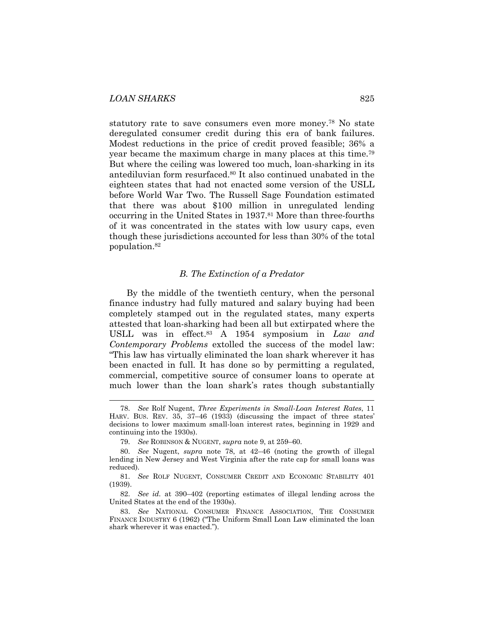statutory rate to save consumers even more money.78 No state deregulated consumer credit during this era of bank failures. Modest reductions in the price of credit proved feasible; 36% a year became the maximum charge in many places at this time.79 But where the ceiling was lowered too much, loan-sharking in its antediluvian form resurfaced.80 It also continued unabated in the eighteen states that had not enacted some version of the USLL before World War Two. The Russell Sage Foundation estimated that there was about \$100 million in unregulated lending occurring in the United States in 1937.81 More than three-fourths of it was concentrated in the states with low usury caps, even though these jurisdictions accounted for less than 30% of the total population.82

#### *B. The Extinction of a Predator*

By the middle of the twentieth century, when the personal finance industry had fully matured and salary buying had been completely stamped out in the regulated states, many experts attested that loan-sharking had been all but extirpated where the USLL was in effect.83 A 1954 symposium in *Law and Contemporary Problems* extolled the success of the model law: "This law has virtually eliminated the loan shark wherever it has been enacted in full. It has done so by permitting a regulated, commercial, competitive source of consumer loans to operate at much lower than the loan shark's rates though substantially

 <sup>78.</sup> *See* Rolf Nugent, *Three Experiments in Small-Loan Interest Rates*, 11 HARV. BUS. REV. 35, 37–46 (1933) (discussing the impact of three states' decisions to lower maximum small-loan interest rates, beginning in 1929 and continuing into the 1930s).

 <sup>79.</sup> *See* ROBINSON & NUGENT, *supra* note 9, at 259–60.

 <sup>80.</sup> *See* Nugent, *supra* note 78, at 42–46 (noting the growth of illegal lending in New Jersey and West Virginia after the rate cap for small loans was reduced).

 <sup>81.</sup> *See* ROLF NUGENT, CONSUMER CREDIT AND ECONOMIC STABILITY 401 (1939).

 <sup>82.</sup> *See id.* at 390–402 (reporting estimates of illegal lending across the United States at the end of the 1930s).

 <sup>83.</sup> *See* NATIONAL CONSUMER FINANCE ASSOCIATION, THE CONSUMER FINANCE INDUSTRY 6 (1962) ("The Uniform Small Loan Law eliminated the loan shark wherever it was enacted.").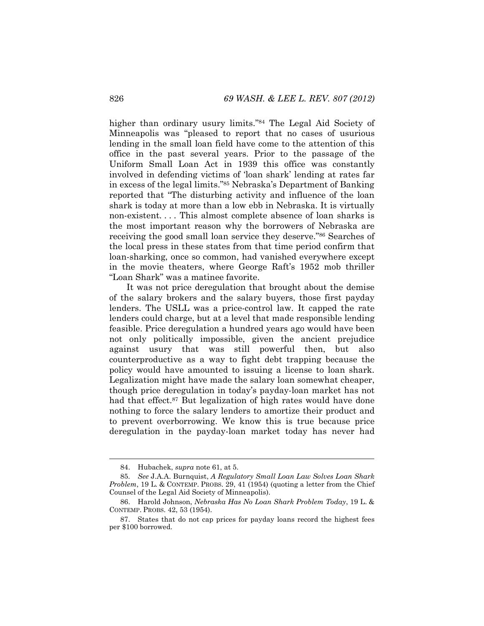higher than ordinary usury limits."<sup>84</sup> The Legal Aid Society of Minneapolis was "pleased to report that no cases of usurious lending in the small loan field have come to the attention of this office in the past several years. Prior to the passage of the Uniform Small Loan Act in 1939 this office was constantly involved in defending victims of 'loan shark' lending at rates far in excess of the legal limits."85 Nebraska's Department of Banking reported that "The disturbing activity and influence of the loan shark is today at more than a low ebb in Nebraska. It is virtually non-existent. . . . This almost complete absence of loan sharks is the most important reason why the borrowers of Nebraska are receiving the good small loan service they deserve."86 Searches of the local press in these states from that time period confirm that loan-sharking, once so common, had vanished everywhere except in the movie theaters, where George Raft's 1952 mob thriller "Loan Shark" was a matinee favorite.

It was not price deregulation that brought about the demise of the salary brokers and the salary buyers, those first payday lenders. The USLL was a price-control law. It capped the rate lenders could charge, but at a level that made responsible lending feasible. Price deregulation a hundred years ago would have been not only politically impossible, given the ancient prejudice against usury that was still powerful then, but also counterproductive as a way to fight debt trapping because the policy would have amounted to issuing a license to loan shark. Legalization might have made the salary loan somewhat cheaper, though price deregulation in today's payday-loan market has not had that effect.<sup>87</sup> But legalization of high rates would have done nothing to force the salary lenders to amortize their product and to prevent overborrowing. We know this is true because price deregulation in the payday-loan market today has never had

 <sup>84.</sup> Hubachek, *supra* note 61, at 5.

 <sup>85.</sup> *See* J.A.A. Burnquist, *A Regulatory Small Loan Law Solves Loan Shark Problem*, 19 L. & CONTEMP. PROBS. 29, 41 (1954) (quoting a letter from the Chief Counsel of the Legal Aid Society of Minneapolis).

 <sup>86.</sup> Harold Johnson, *Nebraska Has No Loan Shark Problem Today*, 19 L. & CONTEMP. PROBS. 42, 53 (1954).

 <sup>87.</sup> States that do not cap prices for payday loans record the highest fees per \$100 borrowed.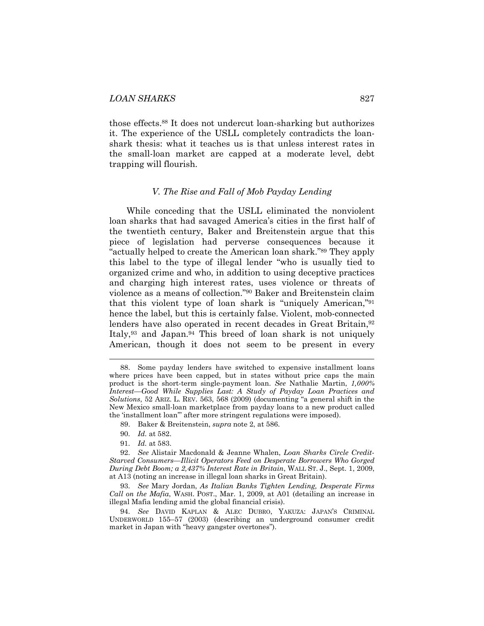those effects.88 It does not undercut loan-sharking but authorizes it. The experience of the USLL completely contradicts the loanshark thesis: what it teaches us is that unless interest rates in the small-loan market are capped at a moderate level, debt trapping will flourish.

#### *V. The Rise and Fall of Mob Payday Lending*

While conceding that the USLL eliminated the nonviolent loan sharks that had savaged America's cities in the first half of the twentieth century, Baker and Breitenstein argue that this piece of legislation had perverse consequences because it "actually helped to create the American loan shark."89 They apply this label to the type of illegal lender "who is usually tied to organized crime and who, in addition to using deceptive practices and charging high interest rates, uses violence or threats of violence as a means of collection."90 Baker and Breitenstein claim that this violent type of loan shark is "uniquely American,"91 hence the label, but this is certainly false. Violent, mob-connected lenders have also operated in recent decades in Great Britain,<sup>92</sup> Italy,93 and Japan.94 This breed of loan shark is not uniquely American, though it does not seem to be present in every

90. *Id.* at 582.

l

91. *Id.* at 583.

 <sup>88.</sup> Some payday lenders have switched to expensive installment loans where prices have been capped, but in states without price caps the main product is the short-term single-payment loan. *See* Nathalie Martin, *1,000% Interest—Good While Supplies Last: A Study of Payday Loan Practices and Solutions*, 52 ARIZ. L. REV. 563, 568 (2009) (documenting "a general shift in the New Mexico small-loan marketplace from payday loans to a new product called the 'installment loan'" after more stringent regulations were imposed).

 <sup>89.</sup> Baker & Breitenstein, *supra* note 2, at 586.

 <sup>92.</sup> *See* Alistair Macdonald & Jeanne Whalen, *Loan Sharks Circle Credit-Starved Consumers—Illicit Operators Feed on Desperate Borrowers Who Gorged During Debt Boom; a 2,437% Interest Rate in Britain*, WALL ST. J., Sept. 1, 2009, at A13 (noting an increase in illegal loan sharks in Great Britain).

 <sup>93.</sup> *See* Mary Jordan, *As Italian Banks Tighten Lending, Desperate Firms Call on the Mafia*, WASH. POST., Mar. 1, 2009, at A01 (detailing an increase in illegal Mafia lending amid the global financial crisis).

 <sup>94.</sup> *See* DAVID KAPLAN & ALEC DUBRO, YAKUZA: JAPAN'S CRIMINAL UNDERWORLD 155–57 (2003) (describing an underground consumer credit market in Japan with "heavy gangster overtones").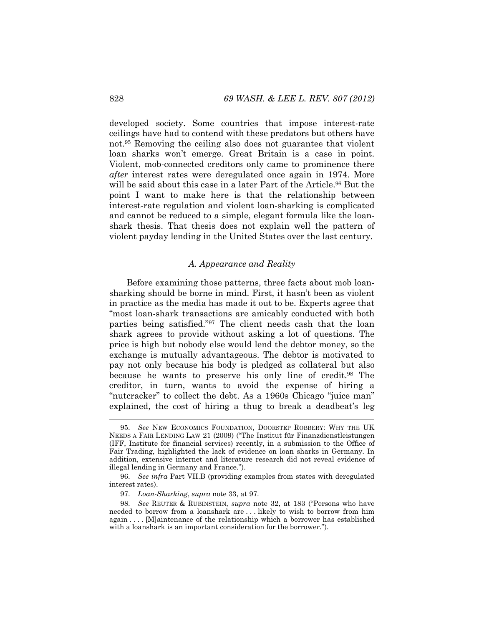developed society. Some countries that impose interest-rate ceilings have had to contend with these predators but others have not.95 Removing the ceiling also does not guarantee that violent loan sharks won't emerge. Great Britain is a case in point. Violent, mob-connected creditors only came to prominence there *after* interest rates were deregulated once again in 1974. More will be said about this case in a later Part of the Article.<sup>96</sup> But the point I want to make here is that the relationship between interest-rate regulation and violent loan-sharking is complicated and cannot be reduced to a simple, elegant formula like the loanshark thesis. That thesis does not explain well the pattern of violent payday lending in the United States over the last century.

#### *A. Appearance and Reality*

Before examining those patterns, three facts about mob loansharking should be borne in mind. First, it hasn't been as violent in practice as the media has made it out to be. Experts agree that "most loan-shark transactions are amicably conducted with both parties being satisfied."97 The client needs cash that the loan shark agrees to provide without asking a lot of questions. The price is high but nobody else would lend the debtor money, so the exchange is mutually advantageous. The debtor is motivated to pay not only because his body is pledged as collateral but also because he wants to preserve his only line of credit.98 The creditor, in turn, wants to avoid the expense of hiring a "nutcracker" to collect the debt. As a 1960s Chicago "juice man" explained, the cost of hiring a thug to break a deadbeat's leg

 <sup>95.</sup> *See* NEW ECONOMICS FOUNDATION, DOORSTEP ROBBERY: WHY THE UK NEEDS A FAIR LENDING LAW 21 (2009) ("The Institut für Finanzdienstleistungen (IFF, Institute for financial services) recently, in a submission to the Office of Fair Trading, highlighted the lack of evidence on loan sharks in Germany. In addition, extensive internet and literature research did not reveal evidence of illegal lending in Germany and France.").

 <sup>96.</sup> *See infra* Part VII.B (providing examples from states with deregulated interest rates).

 <sup>97.</sup> *Loan-Sharking*, *supra* note 33, at 97.

 <sup>98.</sup> *See* REUTER & RUBINSTEIN, *supra* note 32, at 183 ("Persons who have needed to borrow from a loanshark are . . . likely to wish to borrow from him again . . . . [M]aintenance of the relationship which a borrower has established with a loanshark is an important consideration for the borrower.").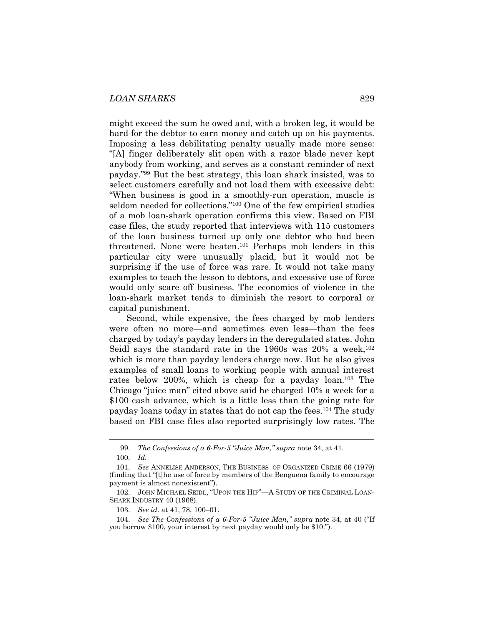might exceed the sum he owed and, with a broken leg, it would be hard for the debtor to earn money and catch up on his payments. Imposing a less debilitating penalty usually made more sense: "[A] finger deliberately slit open with a razor blade never kept anybody from working, and serves as a constant reminder of next payday."99 But the best strategy, this loan shark insisted, was to select customers carefully and not load them with excessive debt: "When business is good in a smoothly-run operation, muscle is seldom needed for collections."100 One of the few empirical studies of a mob loan-shark operation confirms this view. Based on FBI case files, the study reported that interviews with 115 customers of the loan business turned up only one debtor who had been threatened. None were beaten.101 Perhaps mob lenders in this particular city were unusually placid, but it would not be surprising if the use of force was rare. It would not take many examples to teach the lesson to debtors, and excessive use of force would only scare off business. The economics of violence in the loan-shark market tends to diminish the resort to corporal or capital punishment.

Second, while expensive, the fees charged by mob lenders were often no more—and sometimes even less—than the fees charged by today's payday lenders in the deregulated states. John Seidl says the standard rate in the 1960s was  $20\%$  a week,<sup>102</sup> which is more than payday lenders charge now. But he also gives examples of small loans to working people with annual interest rates below 200%, which is cheap for a payday loan.103 The Chicago "juice man" cited above said he charged 10% a week for a \$100 cash advance, which is a little less than the going rate for payday loans today in states that do not cap the fees.104 The study based on FBI case files also reported surprisingly low rates. The

 <sup>99.</sup> *The Confessions of a 6-For-5 "Juice Man*,*" supra* note 34, at 41.

 <sup>100.</sup> *Id.*

 <sup>101.</sup> *See* ANNELISE ANDERSON, THE BUSINESS OF ORGANIZED CRIME 66 (1979) (finding that "[t]he use of force by members of the Benguena family to encourage payment is almost nonexistent").

 <sup>102.</sup> JOHN MICHAEL SEIDL, "UPON THE HIP"—A STUDY OF THE CRIMINAL LOAN-SHARK INDUSTRY 40 (1968).

 <sup>103.</sup> *See id.* at 41, 78, 100–01.

 <sup>104.</sup> *See The Confessions of a 6-For-5 "Juice Man*,*" supra* note 34, at 40 ("If you borrow \$100, your interest by next payday would only be \$10.").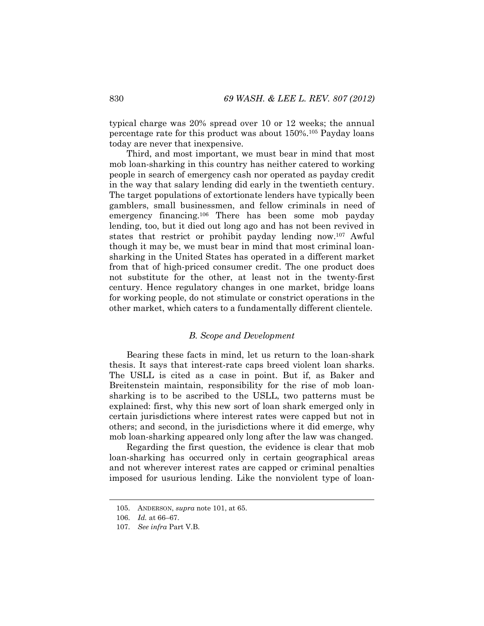typical charge was 20% spread over 10 or 12 weeks; the annual percentage rate for this product was about 150%.105 Payday loans today are never that inexpensive.

Third, and most important, we must bear in mind that most mob loan-sharking in this country has neither catered to working people in search of emergency cash nor operated as payday credit in the way that salary lending did early in the twentieth century. The target populations of extortionate lenders have typically been gamblers, small businessmen, and fellow criminals in need of emergency financing.106 There has been some mob payday lending, too, but it died out long ago and has not been revived in states that restrict or prohibit payday lending now.107 Awful though it may be, we must bear in mind that most criminal loansharking in the United States has operated in a different market from that of high-priced consumer credit. The one product does not substitute for the other, at least not in the twenty-first century. Hence regulatory changes in one market, bridge loans for working people, do not stimulate or constrict operations in the other market, which caters to a fundamentally different clientele.

#### *B. Scope and Development*

Bearing these facts in mind, let us return to the loan-shark thesis. It says that interest-rate caps breed violent loan sharks. The USLL is cited as a case in point. But if, as Baker and Breitenstein maintain, responsibility for the rise of mob loansharking is to be ascribed to the USLL, two patterns must be explained: first, why this new sort of loan shark emerged only in certain jurisdictions where interest rates were capped but not in others; and second, in the jurisdictions where it did emerge, why mob loan-sharking appeared only long after the law was changed.

Regarding the first question, the evidence is clear that mob loan-sharking has occurred only in certain geographical areas and not wherever interest rates are capped or criminal penalties imposed for usurious lending. Like the nonviolent type of loan-

 <sup>105.</sup> ANDERSON, *supra* note 101, at 65.

 <sup>106.</sup> *Id.* at 66–67.

 <sup>107.</sup> *See infra* Part V.B.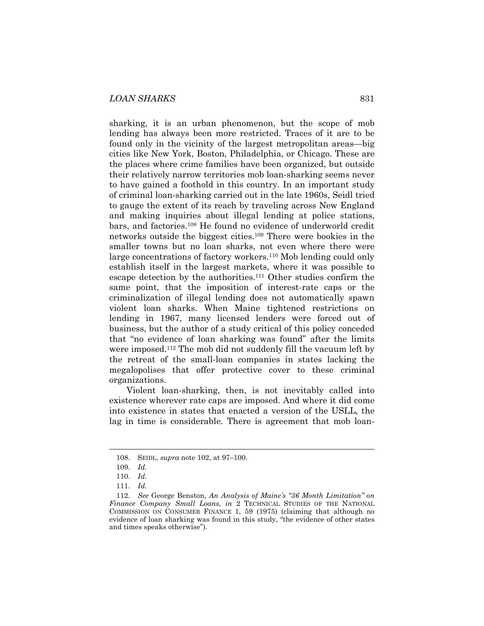sharking, it is an urban phenomenon, but the scope of mob lending has always been more restricted. Traces of it are to be found only in the vicinity of the largest metropolitan areas—big cities like New York, Boston, Philadelphia, or Chicago. These are the places where crime families have been organized, but outside their relatively narrow territories mob loan-sharking seems never to have gained a foothold in this country. In an important study of criminal loan-sharking carried out in the late 1960s, Seidl tried to gauge the extent of its reach by traveling across New England and making inquiries about illegal lending at police stations, bars, and factories.108 He found no evidence of underworld credit networks outside the biggest cities.109 There were bookies in the smaller towns but no loan sharks, not even where there were large concentrations of factory workers.110 Mob lending could only establish itself in the largest markets, where it was possible to escape detection by the authorities.111 Other studies confirm the same point, that the imposition of interest-rate caps or the criminalization of illegal lending does not automatically spawn violent loan sharks. When Maine tightened restrictions on lending in 1967, many licensed lenders were forced out of business, but the author of a study critical of this policy conceded that "no evidence of loan sharking was found" after the limits were imposed.112 The mob did not suddenly fill the vacuum left by the retreat of the small-loan companies in states lacking the megalopolises that offer protective cover to these criminal organizations.

Violent loan-sharking, then, is not inevitably called into existence wherever rate caps are imposed. And where it did come into existence in states that enacted a version of the USLL, the lag in time is considerable. There is agreement that mob loan-

 <sup>108.</sup> SEIDL, *supra* note 102, at 97–100.

 <sup>109.</sup> *Id.* 

 <sup>110.</sup> *Id.* 

 <sup>111.</sup> *Id.*

 <sup>112.</sup> *See* George Benston, *An Analysis of Maine's "36 Month Limitation" on Finance Company Small Loans*, *in* 2 TECHNICAL STUDIES OF THE NATIONAL COMMISSION ON CONSUMER FINANCE 1, 59 (1975) (claiming that although no evidence of loan sharking was found in this study, "the evidence of other states and times speaks otherwise").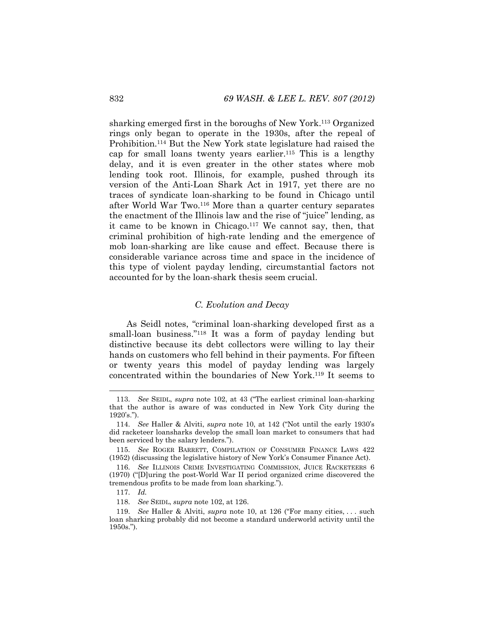sharking emerged first in the boroughs of New York.113 Organized rings only began to operate in the 1930s, after the repeal of Prohibition.114 But the New York state legislature had raised the cap for small loans twenty years earlier.115 This is a lengthy delay, and it is even greater in the other states where mob lending took root. Illinois, for example, pushed through its version of the Anti-Loan Shark Act in 1917, yet there are no traces of syndicate loan-sharking to be found in Chicago until after World War Two.116 More than a quarter century separates the enactment of the Illinois law and the rise of "juice" lending, as it came to be known in Chicago.117 We cannot say, then, that criminal prohibition of high-rate lending and the emergence of mob loan-sharking are like cause and effect. Because there is considerable variance across time and space in the incidence of this type of violent payday lending, circumstantial factors not accounted for by the loan-shark thesis seem crucial.

# *C. Evolution and Decay*

As Seidl notes, "criminal loan-sharking developed first as a small-loan business."<sup>118</sup> It was a form of payday lending but distinctive because its debt collectors were willing to lay their hands on customers who fell behind in their payments. For fifteen or twenty years this model of payday lending was largely concentrated within the boundaries of New York.119 It seems to

 <sup>113.</sup> *See* SEIDL, *supra* note 102, at 43 ("The earliest criminal loan-sharking that the author is aware of was conducted in New York City during the 1920's.").

 <sup>114.</sup> *See* Haller & Alviti, *supra* note 10, at 142 ("Not until the early 1930's did racketeer loansharks develop the small loan market to consumers that had been serviced by the salary lenders.").

 <sup>115.</sup> *See* ROGER BARRETT, COMPILATION OF CONSUMER FINANCE LAWS 422 (1952) (discussing the legislative history of New York's Consumer Finance Act).

 <sup>116.</sup> *See* ILLINOIS CRIME INVESTIGATING COMMISSION, JUICE RACKETEERS 6 (1970) ("[D]uring the post-World War II period organized crime discovered the tremendous profits to be made from loan sharking.").

 <sup>117.</sup> *Id.*

 <sup>118.</sup> *See* SEIDL, *supra* note 102, at 126.

 <sup>119.</sup> *See* Haller & Alviti, *supra* note 10, at 126 ("For many cities, . . . such loan sharking probably did not become a standard underworld activity until the 1950s.").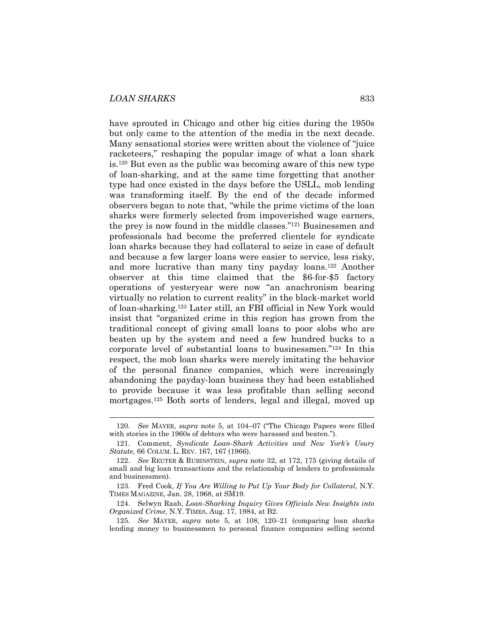l

have sprouted in Chicago and other big cities during the 1950s but only came to the attention of the media in the next decade. Many sensational stories were written about the violence of "juice racketeers," reshaping the popular image of what a loan shark is.120 But even as the public was becoming aware of this new type of loan-sharking, and at the same time forgetting that another type had once existed in the days before the USLL, mob lending was transforming itself. By the end of the decade informed observers began to note that, "while the prime victims of the loan sharks were formerly selected from impoverished wage earners, the prey is now found in the middle classes."121 Businessmen and professionals had become the preferred clientele for syndicate loan sharks because they had collateral to seize in case of default and because a few larger loans were easier to service, less risky, and more lucrative than many tiny payday loans.122 Another observer at this time claimed that the \$6-for-\$5 factory operations of yesteryear were now "an anachronism bearing virtually no relation to current reality" in the black-market world of loan-sharking.123 Later still, an FBI official in New York would insist that "organized crime in this region has grown from the traditional concept of giving small loans to poor slobs who are beaten up by the system and need a few hundred bucks to a corporate level of substantial loans to businessmen."124 In this respect, the mob loan sharks were merely imitating the behavior of the personal finance companies, which were increasingly abandoning the payday-loan business they had been established to provide because it was less profitable than selling second mortgages.125 Both sorts of lenders, legal and illegal, moved up

 <sup>120.</sup> *See* MAYER, *supra* note 5, at 104–07 ("The Chicago Papers were filled with stories in the 1960s of debtors who were harassed and beaten.").

 <sup>121.</sup> Comment, *Syndicate Loan-Shark Activities and New York's Usury Statute*, 66 COLUM. L. REV. 167, 167 (1966).

 <sup>122.</sup> *See* REUTER & RUBINSTEIN, *supra* note 32, at 172, 175 (giving details of small and big loan transactions and the relationship of lenders to professionals and businessmen).

 <sup>123.</sup> Fred Cook, *If You Are Willing to Put Up Your Body for Collateral*, N.Y. TIMES MAGAZINE, Jan. 28, 1968, at SM19.

 <sup>124.</sup> Selwyn Raab, *Loan-Sharking Inquiry Gives Officials New Insights into Organized Crime*, N.Y. TIMES, Aug. 17, 1984, at B2.

 <sup>125.</sup> *See* MAYER, *supra* note 5, at 108, 120–21 (comparing loan sharks lending money to businessmen to personal finance companies selling second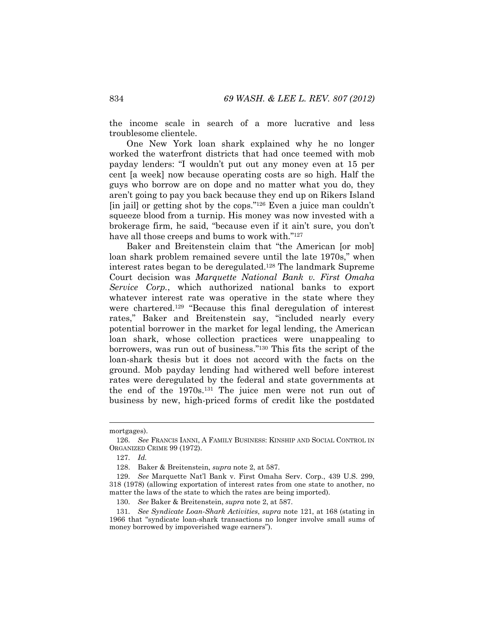the income scale in search of a more lucrative and less troublesome clientele.

One New York loan shark explained why he no longer worked the waterfront districts that had once teemed with mob payday lenders: "I wouldn't put out any money even at 15 per cent [a week] now because operating costs are so high. Half the guys who borrow are on dope and no matter what you do, they aren't going to pay you back because they end up on Rikers Island [in jail] or getting shot by the cops."<sup>126</sup> Even a juice man couldn't squeeze blood from a turnip. His money was now invested with a brokerage firm, he said, "because even if it ain't sure, you don't have all those creeps and bums to work with."127

Baker and Breitenstein claim that "the American [or mob] loan shark problem remained severe until the late 1970s," when interest rates began to be deregulated.128 The landmark Supreme Court decision was *Marquette National Bank v. First Omaha Service Corp.*, which authorized national banks to export whatever interest rate was operative in the state where they were chartered.129 "Because this final deregulation of interest rates," Baker and Breitenstein say, "included nearly every potential borrower in the market for legal lending, the American loan shark, whose collection practices were unappealing to borrowers, was run out of business."130 This fits the script of the loan-shark thesis but it does not accord with the facts on the ground. Mob payday lending had withered well before interest rates were deregulated by the federal and state governments at the end of the 1970s.131 The juice men were not run out of business by new, high-priced forms of credit like the postdated

mortgages).

 <sup>126.</sup> *See* FRANCIS IANNI, A FAMILY BUSINESS: KINSHIP AND SOCIAL CONTROL IN ORGANIZED CRIME 99 (1972).

 <sup>127.</sup> *Id.*

 <sup>128.</sup> Baker & Breitenstein, *supra* note 2, at 587.

 <sup>129.</sup> *See* Marquette Nat'l Bank v. First Omaha Serv. Corp., 439 U.S. 299, 318 (1978) (allowing exportation of interest rates from one state to another, no matter the laws of the state to which the rates are being imported).

 <sup>130.</sup> *See* Baker & Breitenstein, *supra* note 2, at 587.

 <sup>131.</sup> *See Syndicate Loan-Shark Activities*, *supra* note 121, at 168 (stating in 1966 that "syndicate loan-shark transactions no longer involve small sums of money borrowed by impoverished wage earners").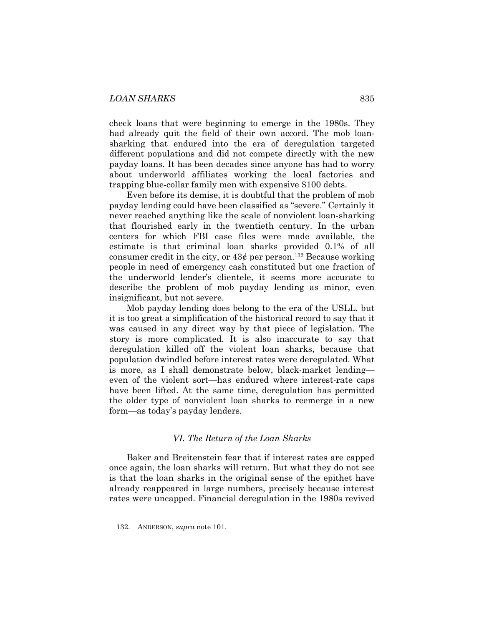check loans that were beginning to emerge in the 1980s. They had already quit the field of their own accord. The mob loansharking that endured into the era of deregulation targeted different populations and did not compete directly with the new payday loans. It has been decades since anyone has had to worry about underworld affiliates working the local factories and trapping blue-collar family men with expensive \$100 debts.

Even before its demise, it is doubtful that the problem of mob payday lending could have been classified as "severe." Certainly it never reached anything like the scale of nonviolent loan-sharking that flourished early in the twentieth century. In the urban centers for which FBI case files were made available, the estimate is that criminal loan sharks provided 0.1% of all consumer credit in the city, or  $43¢$  per person.<sup>132</sup> Because working people in need of emergency cash constituted but one fraction of the underworld lender's clientele, it seems more accurate to describe the problem of mob payday lending as minor, even insignificant, but not severe.

Mob payday lending does belong to the era of the USLL, but it is too great a simplification of the historical record to say that it was caused in any direct way by that piece of legislation. The story is more complicated. It is also inaccurate to say that deregulation killed off the violent loan sharks, because that population dwindled before interest rates were deregulated. What is more, as I shall demonstrate below, black-market lending even of the violent sort—has endured where interest-rate caps have been lifted. At the same time, deregulation has permitted the older type of nonviolent loan sharks to reemerge in a new form—as today's payday lenders.

## *VI. The Return of the Loan Sharks*

Baker and Breitenstein fear that if interest rates are capped once again, the loan sharks will return. But what they do not see is that the loan sharks in the original sense of the epithet have already reappeared in large numbers, precisely because interest rates were uncapped. Financial deregulation in the 1980s revived

 <sup>132.</sup> ANDERSON, *supra* note 101.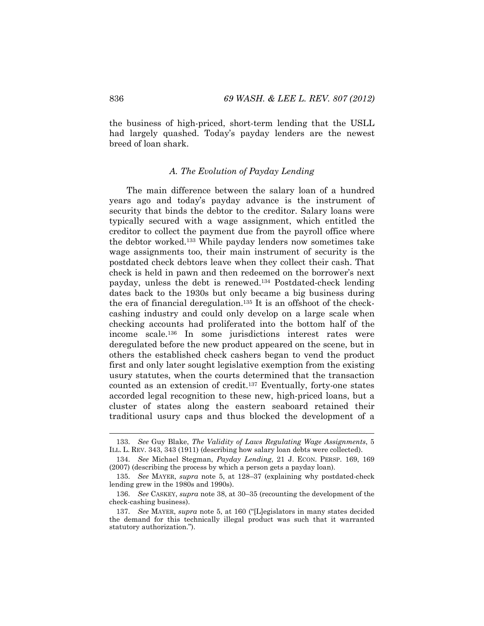the business of high-priced, short-term lending that the USLL had largely quashed. Today's payday lenders are the newest breed of loan shark.

#### *A. The Evolution of Payday Lending*

The main difference between the salary loan of a hundred years ago and today's payday advance is the instrument of security that binds the debtor to the creditor. Salary loans were typically secured with a wage assignment, which entitled the creditor to collect the payment due from the payroll office where the debtor worked.133 While payday lenders now sometimes take wage assignments too, their main instrument of security is the postdated check debtors leave when they collect their cash. That check is held in pawn and then redeemed on the borrower's next payday, unless the debt is renewed.134 Postdated-check lending dates back to the 1930s but only became a big business during the era of financial deregulation.135 It is an offshoot of the checkcashing industry and could only develop on a large scale when checking accounts had proliferated into the bottom half of the income scale.136 In some jurisdictions interest rates were deregulated before the new product appeared on the scene, but in others the established check cashers began to vend the product first and only later sought legislative exemption from the existing usury statutes, when the courts determined that the transaction counted as an extension of credit.137 Eventually, forty-one states accorded legal recognition to these new, high-priced loans, but a cluster of states along the eastern seaboard retained their traditional usury caps and thus blocked the development of a

 <sup>133.</sup> *See* Guy Blake, *The Validity of Laws Regulating Wage Assignments*, 5 ILL. L. REV. 343, 343 (1911) (describing how salary loan debts were collected).

 <sup>134.</sup> *See* Michael Stegman, *Payday Lending*, 21 J. ECON. PERSP. 169, 169 (2007) (describing the process by which a person gets a payday loan).

 <sup>135.</sup> *See* MAYER, *supra* note 5, at 128–37 (explaining why postdated-check lending grew in the 1980s and 1990s).

 <sup>136.</sup> *See* CASKEY, *supra* note 38, at 30–35 (recounting the development of the check-cashing business).

 <sup>137.</sup> *See* MAYER, *supra* note 5, at 160 ("[L]egislators in many states decided the demand for this technically illegal product was such that it warranted statutory authorization.").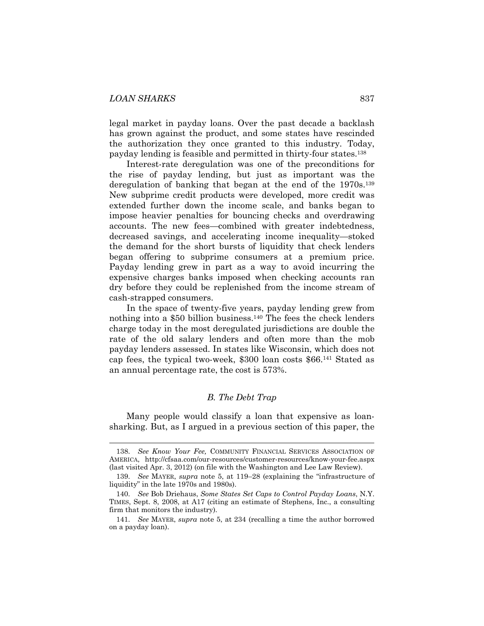legal market in payday loans. Over the past decade a backlash has grown against the product, and some states have rescinded the authorization they once granted to this industry. Today, payday lending is feasible and permitted in thirty-four states.138

Interest-rate deregulation was one of the preconditions for the rise of payday lending, but just as important was the deregulation of banking that began at the end of the 1970s.<sup>139</sup> New subprime credit products were developed, more credit was extended further down the income scale, and banks began to impose heavier penalties for bouncing checks and overdrawing accounts. The new fees—combined with greater indebtedness, decreased savings, and accelerating income inequality—stoked the demand for the short bursts of liquidity that check lenders began offering to subprime consumers at a premium price. Payday lending grew in part as a way to avoid incurring the expensive charges banks imposed when checking accounts ran dry before they could be replenished from the income stream of cash-strapped consumers.

In the space of twenty-five years, payday lending grew from nothing into a \$50 billion business.140 The fees the check lenders charge today in the most deregulated jurisdictions are double the rate of the old salary lenders and often more than the mob payday lenders assessed. In states like Wisconsin, which does not cap fees, the typical two-week, \$300 loan costs \$66.141 Stated as an annual percentage rate, the cost is 573%.

# *B. The Debt Trap*

Many people would classify a loan that expensive as loansharking. But, as I argued in a previous section of this paper, the

 <sup>138.</sup> *See Know Your Fee,* COMMUNITY FINANCIAL SERVICES ASSOCIATION OF AMERICA, http://cfsaa.com/our-resources/customer-resources/know-your-fee.aspx (last visited Apr. 3, 2012) (on file with the Washington and Lee Law Review).

 <sup>139.</sup> *See* MAYER, *supra* note 5, at 119–28 (explaining the "infrastructure of liquidity" in the late 1970s and 1980s).

 <sup>140.</sup> *See* Bob Driehaus, *Some States Set Caps to Control Payday Loans*, N.Y. TIMES, Sept. 8, 2008, at A17 (citing an estimate of Stephens, Inc., a consulting firm that monitors the industry).

 <sup>141.</sup> *See* MAYER, *supra* note 5, at 234 (recalling a time the author borrowed on a payday loan).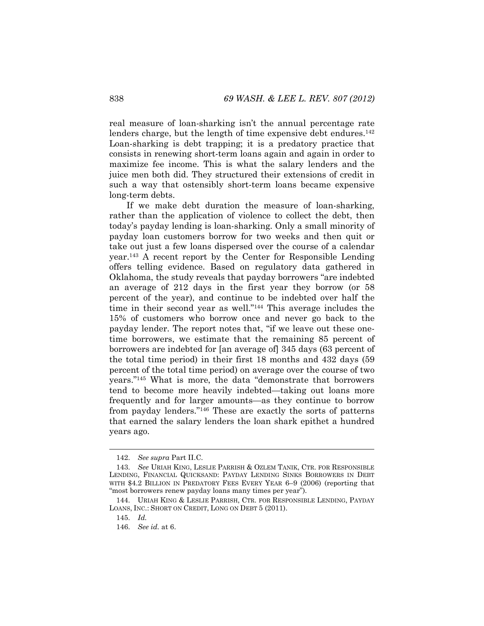real measure of loan-sharking isn't the annual percentage rate lenders charge, but the length of time expensive debt endures.<sup>142</sup> Loan-sharking is debt trapping; it is a predatory practice that consists in renewing short-term loans again and again in order to maximize fee income. This is what the salary lenders and the juice men both did. They structured their extensions of credit in such a way that ostensibly short-term loans became expensive long-term debts.

If we make debt duration the measure of loan-sharking, rather than the application of violence to collect the debt, then today's payday lending is loan-sharking. Only a small minority of payday loan customers borrow for two weeks and then quit or take out just a few loans dispersed over the course of a calendar year.143 A recent report by the Center for Responsible Lending offers telling evidence. Based on regulatory data gathered in Oklahoma, the study reveals that payday borrowers "are indebted an average of 212 days in the first year they borrow (or 58 percent of the year), and continue to be indebted over half the time in their second year as well."144 This average includes the 15% of customers who borrow once and never go back to the payday lender. The report notes that, "if we leave out these onetime borrowers, we estimate that the remaining 85 percent of borrowers are indebted for [an average of] 345 days (63 percent of the total time period) in their first 18 months and 432 days (59 percent of the total time period) on average over the course of two years."145 What is more, the data "demonstrate that borrowers tend to become more heavily indebted—taking out loans more frequently and for larger amounts—as they continue to borrow from payday lenders."146 These are exactly the sorts of patterns that earned the salary lenders the loan shark epithet a hundred years ago.

 <sup>142.</sup> *See supra* Part II.C.

 <sup>143.</sup> *See* URIAH KING, LESLIE PARRISH & OZLEM TANIK, CTR. FOR RESPONSIBLE LENDING, FINANCIAL QUICKSAND: PAYDAY LENDING SINKS BORROWERS IN DEBT WITH \$4.2 BILLION IN PREDATORY FEES EVERY YEAR 6-9 (2006) (reporting that "most borrowers renew payday loans many times per year").

 <sup>144.</sup> URIAH KING & LESLIE PARRISH, CTR. FOR RESPONSIBLE LENDING, PAYDAY LOANS, INC.: SHORT ON CREDIT, LONG ON DEBT 5 (2011).

 <sup>145.</sup> *Id.*

 <sup>146.</sup> *See id.* at 6.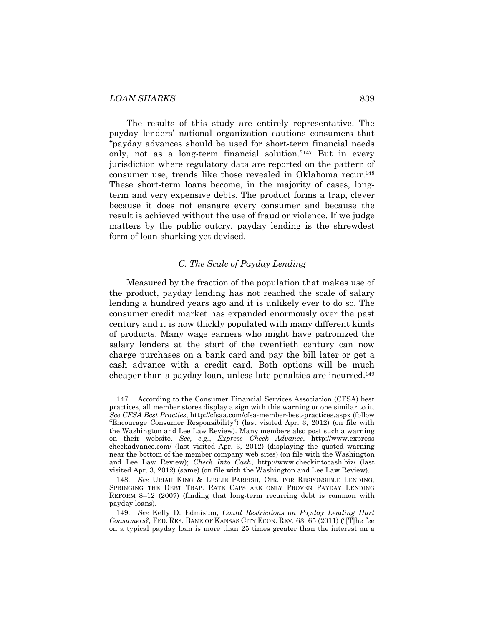The results of this study are entirely representative. The payday lenders' national organization cautions consumers that "payday advances should be used for short-term financial needs only, not as a long-term financial solution."147 But in every jurisdiction where regulatory data are reported on the pattern of consumer use, trends like those revealed in Oklahoma recur.148 These short-term loans become, in the majority of cases, longterm and very expensive debts. The product forms a trap, clever because it does not ensnare every consumer and because the result is achieved without the use of fraud or violence. If we judge matters by the public outcry, payday lending is the shrewdest form of loan-sharking yet devised.

#### *C. The Scale of Payday Lending*

Measured by the fraction of the population that makes use of the product, payday lending has not reached the scale of salary lending a hundred years ago and it is unlikely ever to do so. The consumer credit market has expanded enormously over the past century and it is now thickly populated with many different kinds of products. Many wage earners who might have patronized the salary lenders at the start of the twentieth century can now charge purchases on a bank card and pay the bill later or get a cash advance with a credit card. Both options will be much cheaper than a payday loan, unless late penalties are incurred.149

 <sup>147.</sup> According to the Consumer Financial Services Association (CFSA) best practices, all member stores display a sign with this warning or one similar to it. *See CFSA Best Practies*, http://cfsaa.com/cfsa-member-best-practices.aspx (follow "Encourage Consumer Responsibility") (last visited Apr. 3, 2012) (on file with the Washington and Lee Law Review). Many members also post such a warning on their website. *See, e.g.*, *Express Check Advance*, http://www.express checkadvance.com/ (last visited Apr. 3, 2012) (displaying the quoted warning near the bottom of the member company web sites) (on file with the Washington and Lee Law Review); *Check Into Cash*, http://www.checkintocash.biz/ (last visited Apr. 3, 2012) (same) (on file with the Washington and Lee Law Review).

 <sup>148.</sup> *See* URIAH KING & LESLIE PARRISH, CTR. FOR RESPONSIBLE LENDING, SPRINGING THE DEBT TRAP: RATE CAPS ARE ONLY PROVEN PAYDAY LENDING REFORM 8–12 (2007) (finding that long-term recurring debt is common with payday loans).

 <sup>149.</sup> *See* Kelly D. Edmiston, *Could Restrictions on Payday Lending Hurt Consumers?*, FED. RES. BANK OF KANSAS CITY ECON. REV. 63, 65 (2011) ("[T]he fee on a typical payday loan is more than 25 times greater than the interest on a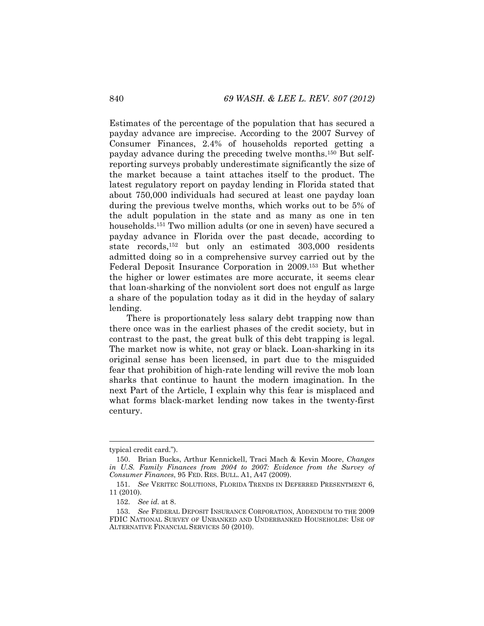Estimates of the percentage of the population that has secured a payday advance are imprecise. According to the 2007 Survey of Consumer Finances, 2.4% of households reported getting a payday advance during the preceding twelve months.150 But selfreporting surveys probably underestimate significantly the size of the market because a taint attaches itself to the product. The latest regulatory report on payday lending in Florida stated that about 750,000 individuals had secured at least one payday loan during the previous twelve months, which works out to be 5% of the adult population in the state and as many as one in ten households.151 Two million adults (or one in seven) have secured a payday advance in Florida over the past decade, according to state records,152 but only an estimated 303,000 residents admitted doing so in a comprehensive survey carried out by the Federal Deposit Insurance Corporation in 2009.153 But whether the higher or lower estimates are more accurate, it seems clear that loan-sharking of the nonviolent sort does not engulf as large a share of the population today as it did in the heyday of salary lending.

There is proportionately less salary debt trapping now than there once was in the earliest phases of the credit society, but in contrast to the past, the great bulk of this debt trapping is legal. The market now is white, not gray or black. Loan-sharking in its original sense has been licensed, in part due to the misguided fear that prohibition of high-rate lending will revive the mob loan sharks that continue to haunt the modern imagination. In the next Part of the Article, I explain why this fear is misplaced and what forms black-market lending now takes in the twenty-first century.

typical credit card.").

 <sup>150.</sup> Brian Bucks, Arthur Kennickell, Traci Mach & Kevin Moore, *Changes in U.S. Family Finances from 2004 to 2007: Evidence from the Survey of Consumer Finances*, 95 FED. RES. BULL. A1, A47 (2009).

 <sup>151.</sup> *See* VERITEC SOLUTIONS, FLORIDA TRENDS IN DEFERRED PRESENTMENT 6, 11 (2010).

 <sup>152.</sup> *See id.* at 8.

 <sup>153.</sup> *See* FEDERAL DEPOSIT INSURANCE CORPORATION, ADDENDUM TO THE 2009 FDIC NATIONAL SURVEY OF UNBANKED AND UNDERBANKED HOUSEHOLDS: USE OF ALTERNATIVE FINANCIAL SERVICES 50 (2010).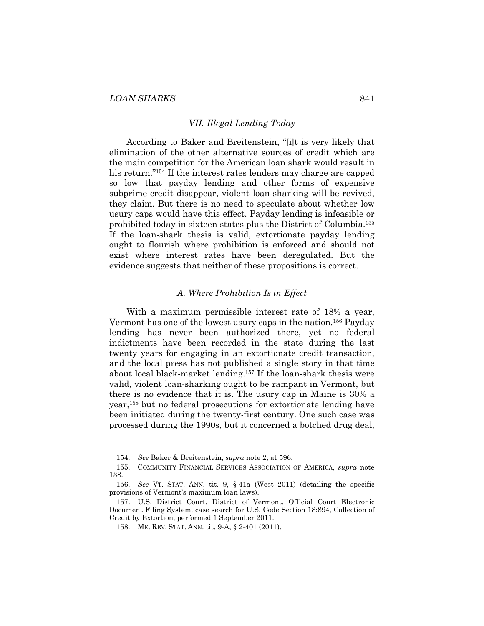#### *VII. Illegal Lending Today*

According to Baker and Breitenstein, "[i]t is very likely that elimination of the other alternative sources of credit which are the main competition for the American loan shark would result in his return."<sup>154</sup> If the interest rates lenders may charge are capped so low that payday lending and other forms of expensive subprime credit disappear, violent loan-sharking will be revived, they claim. But there is no need to speculate about whether low usury caps would have this effect. Payday lending is infeasible or prohibited today in sixteen states plus the District of Columbia.155 If the loan-shark thesis is valid, extortionate payday lending ought to flourish where prohibition is enforced and should not exist where interest rates have been deregulated. But the evidence suggests that neither of these propositions is correct.

## *A. Where Prohibition Is in Effect*

With a maximum permissible interest rate of 18% a year, Vermont has one of the lowest usury caps in the nation.156 Payday lending has never been authorized there, yet no federal indictments have been recorded in the state during the last twenty years for engaging in an extortionate credit transaction, and the local press has not published a single story in that time about local black-market lending.157 If the loan-shark thesis were valid, violent loan-sharking ought to be rampant in Vermont, but there is no evidence that it is. The usury cap in Maine is 30% a year,158 but no federal prosecutions for extortionate lending have been initiated during the twenty-first century. One such case was processed during the 1990s, but it concerned a botched drug deal,

 <sup>154.</sup> *See* Baker & Breitenstein, *supra* note 2, at 596.

 <sup>155.</sup> COMMUNITY FINANCIAL SERVICES ASSOCIATION OF AMERICA, *supra* note 138.

 <sup>156.</sup> *See* VT. STAT. ANN. tit. 9, § 41a (West 2011) (detailing the specific provisions of Vermont's maximum loan laws).

 <sup>157.</sup> U.S. District Court, District of Vermont, Official Court Electronic Document Filing System, case search for U.S. Code Section 18:894, Collection of Credit by Extortion, performed 1 September 2011.

 <sup>158.</sup> ME. REV. STAT. ANN. tit. 9-A, § 2-401 (2011).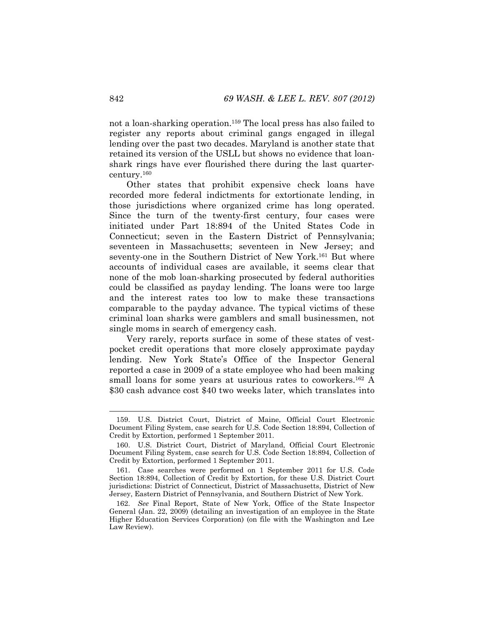not a loan-sharking operation.159 The local press has also failed to register any reports about criminal gangs engaged in illegal lending over the past two decades. Maryland is another state that retained its version of the USLL but shows no evidence that loanshark rings have ever flourished there during the last quartercentury.160

Other states that prohibit expensive check loans have recorded more federal indictments for extortionate lending, in those jurisdictions where organized crime has long operated. Since the turn of the twenty-first century, four cases were initiated under Part 18:894 of the United States Code in Connecticut; seven in the Eastern District of Pennsylvania; seventeen in Massachusetts; seventeen in New Jersey; and seventy-one in the Southern District of New York.161 But where accounts of individual cases are available, it seems clear that none of the mob loan-sharking prosecuted by federal authorities could be classified as payday lending. The loans were too large and the interest rates too low to make these transactions comparable to the payday advance. The typical victims of these criminal loan sharks were gamblers and small businessmen, not single moms in search of emergency cash.

Very rarely, reports surface in some of these states of vestpocket credit operations that more closely approximate payday lending. New York State's Office of the Inspector General reported a case in 2009 of a state employee who had been making small loans for some years at usurious rates to coworkers.<sup>162</sup> A \$30 cash advance cost \$40 two weeks later, which translates into

 <sup>159.</sup> U.S. District Court, District of Maine, Official Court Electronic Document Filing System, case search for U.S. Code Section 18:894, Collection of Credit by Extortion, performed 1 September 2011.

 <sup>160.</sup> U.S. District Court, District of Maryland, Official Court Electronic Document Filing System, case search for U.S. Code Section 18:894, Collection of Credit by Extortion, performed 1 September 2011.

 <sup>161.</sup> Case searches were performed on 1 September 2011 for U.S. Code Section 18:894, Collection of Credit by Extortion, for these U.S. District Court jurisdictions: District of Connecticut, District of Massachusetts, District of New Jersey, Eastern District of Pennsylvania, and Southern District of New York.

 <sup>162.</sup> *See* Final Report, State of New York, Office of the State Inspector General (Jan. 22, 2009) (detailing an investigation of an employee in the State Higher Education Services Corporation) (on file with the Washington and Lee Law Review).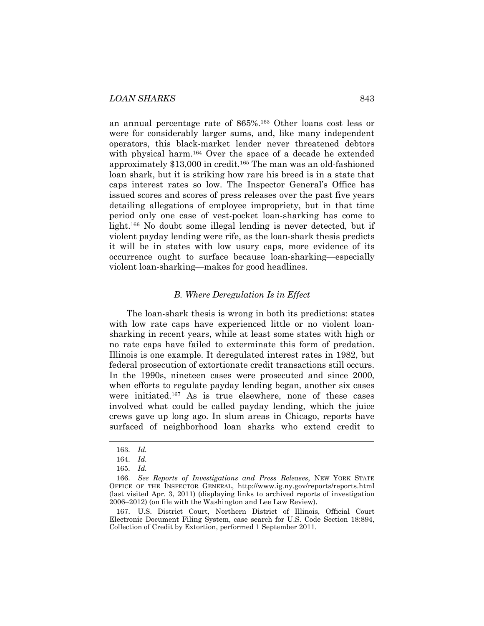an annual percentage rate of 865%.163 Other loans cost less or were for considerably larger sums, and, like many independent operators, this black-market lender never threatened debtors with physical harm.<sup>164</sup> Over the space of a decade he extended approximately \$13,000 in credit.165 The man was an old-fashioned loan shark, but it is striking how rare his breed is in a state that caps interest rates so low. The Inspector General's Office has issued scores and scores of press releases over the past five years detailing allegations of employee impropriety, but in that time period only one case of vest-pocket loan-sharking has come to light.166 No doubt some illegal lending is never detected, but if violent payday lending were rife, as the loan-shark thesis predicts it will be in states with low usury caps, more evidence of its occurrence ought to surface because loan-sharking—especially violent loan-sharking—makes for good headlines.

#### *B. Where Deregulation Is in Effect*

The loan-shark thesis is wrong in both its predictions: states with low rate caps have experienced little or no violent loansharking in recent years, while at least some states with high or no rate caps have failed to exterminate this form of predation. Illinois is one example. It deregulated interest rates in 1982, but federal prosecution of extortionate credit transactions still occurs. In the 1990s, nineteen cases were prosecuted and since 2000, when efforts to regulate payday lending began, another six cases were initiated.167 As is true elsewhere, none of these cases involved what could be called payday lending, which the juice crews gave up long ago. In slum areas in Chicago, reports have surfaced of neighborhood loan sharks who extend credit to

l

 167. U.S. District Court, Northern District of Illinois, Official Court Electronic Document Filing System, case search for U.S. Code Section 18:894, Collection of Credit by Extortion, performed 1 September 2011.

 <sup>163.</sup> *Id.* 

 <sup>164.</sup> *Id.*

 <sup>165.</sup> *Id.* 

 <sup>166.</sup> *See Reports of Investigations and Press Releases*, NEW YORK STATE OFFICE OF THE INSPECTOR GENERAL, http://www.ig.ny.gov/reports/reports.html (last visited Apr. 3, 2011) (displaying links to archived reports of investigation 2006–2012) (on file with the Washington and Lee Law Review).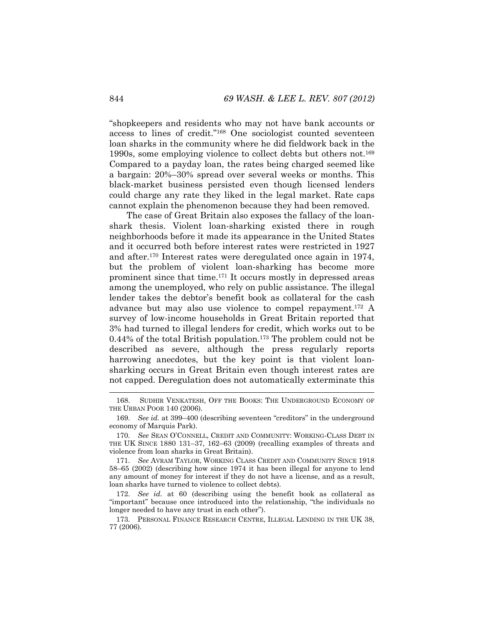"shopkeepers and residents who may not have bank accounts or access to lines of credit."168 One sociologist counted seventeen loan sharks in the community where he did fieldwork back in the 1990s, some employing violence to collect debts but others not.169 Compared to a payday loan, the rates being charged seemed like a bargain: 20%–30% spread over several weeks or months. This black-market business persisted even though licensed lenders could charge any rate they liked in the legal market. Rate caps cannot explain the phenomenon because they had been removed.

The case of Great Britain also exposes the fallacy of the loanshark thesis. Violent loan-sharking existed there in rough neighborhoods before it made its appearance in the United States and it occurred both before interest rates were restricted in 1927 and after.170 Interest rates were deregulated once again in 1974, but the problem of violent loan-sharking has become more prominent since that time.171 It occurs mostly in depressed areas among the unemployed, who rely on public assistance. The illegal lender takes the debtor's benefit book as collateral for the cash advance but may also use violence to compel repayment.172 A survey of low-income households in Great Britain reported that 3% had turned to illegal lenders for credit, which works out to be 0.44% of the total British population.173 The problem could not be described as severe, although the press regularly reports harrowing anecdotes, but the key point is that violent loansharking occurs in Great Britain even though interest rates are not capped. Deregulation does not automatically exterminate this

 <sup>168.</sup> SUDHIR VENKATESH, OFF THE BOOKS: THE UNDERGROUND ECONOMY OF THE URBAN POOR 140 (2006).

 <sup>169.</sup> *See id.* at 399–400 (describing seventeen "creditors" in the underground economy of Marquis Park).

 <sup>170.</sup> *See* SEAN O'CONNELL, CREDIT AND COMMUNITY: WORKING-CLASS DEBT IN THE UK SINCE 1880 131–37, 162–63 (2009) (recalling examples of threats and violence from loan sharks in Great Britain).

 <sup>171.</sup> *See* AVRAM TAYLOR, WORKING CLASS CREDIT AND COMMUNITY SINCE 1918 58–65 (2002) (describing how since 1974 it has been illegal for anyone to lend any amount of money for interest if they do not have a license, and as a result, loan sharks have turned to violence to collect debts).

 <sup>172.</sup> *See id.* at 60 (describing using the benefit book as collateral as "important" because once introduced into the relationship, "the individuals no longer needed to have any trust in each other").

 <sup>173.</sup> PERSONAL FINANCE RESEARCH CENTRE, ILLEGAL LENDING IN THE UK 38, 77 (2006).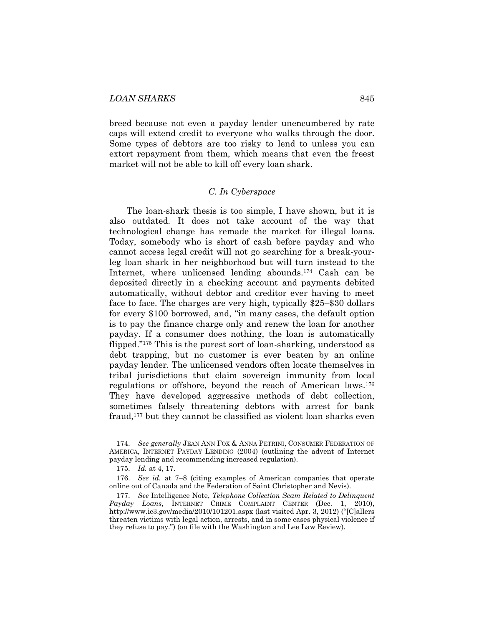breed because not even a payday lender unencumbered by rate caps will extend credit to everyone who walks through the door. Some types of debtors are too risky to lend to unless you can extort repayment from them, which means that even the freest market will not be able to kill off every loan shark.

# *C. In Cyberspace*

The loan-shark thesis is too simple, I have shown, but it is also outdated. It does not take account of the way that technological change has remade the market for illegal loans. Today, somebody who is short of cash before payday and who cannot access legal credit will not go searching for a break-yourleg loan shark in her neighborhood but will turn instead to the Internet, where unlicensed lending abounds.174 Cash can be deposited directly in a checking account and payments debited automatically, without debtor and creditor ever having to meet face to face. The charges are very high, typically \$25–\$30 dollars for every \$100 borrowed, and, "in many cases, the default option is to pay the finance charge only and renew the loan for another payday. If a consumer does nothing, the loan is automatically flipped."175 This is the purest sort of loan-sharking, understood as debt trapping, but no customer is ever beaten by an online payday lender. The unlicensed vendors often locate themselves in tribal jurisdictions that claim sovereign immunity from local regulations or offshore, beyond the reach of American laws.176 They have developed aggressive methods of debt collection, sometimes falsely threatening debtors with arrest for bank fraud,177 but they cannot be classified as violent loan sharks even

 <sup>174.</sup> *See generally* JEAN ANN FOX & ANNA PETRINI, CONSUMER FEDERATION OF AMERICA, INTERNET PAYDAY LENDING (2004) (outlining the advent of Internet payday lending and recommending increased regulation).

 <sup>175.</sup> *Id.* at 4, 17.

 <sup>176.</sup> *See id.* at 7–8 (citing examples of American companies that operate online out of Canada and the Federation of Saint Christopher and Nevis).

 <sup>177.</sup> *See* Intelligence Note, *Telephone Collection Scam Related to Delinquent Payday Loans*, INTERNET CRIME COMPLAINT CENTER (Dec. 1, 2010), http://www.ic3.gov/media/2010/101201.aspx (last visited Apr. 3, 2012) ("[C]allers threaten victims with legal action, arrests, and in some cases physical violence if they refuse to pay.") (on file with the Washington and Lee Law Review).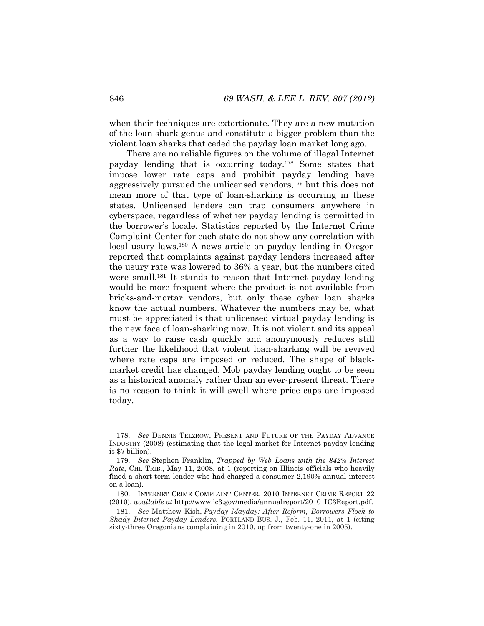when their techniques are extortionate. They are a new mutation of the loan shark genus and constitute a bigger problem than the violent loan sharks that ceded the payday loan market long ago.

There are no reliable figures on the volume of illegal Internet payday lending that is occurring today.178 Some states that impose lower rate caps and prohibit payday lending have aggressively pursued the unlicensed vendors,179 but this does not mean more of that type of loan-sharking is occurring in these states. Unlicensed lenders can trap consumers anywhere in cyberspace, regardless of whether payday lending is permitted in the borrower's locale. Statistics reported by the Internet Crime Complaint Center for each state do not show any correlation with local usury laws.<sup>180</sup> A news article on payday lending in Oregon reported that complaints against payday lenders increased after the usury rate was lowered to 36% a year, but the numbers cited were small.<sup>181</sup> It stands to reason that Internet payday lending would be more frequent where the product is not available from bricks-and-mortar vendors, but only these cyber loan sharks know the actual numbers. Whatever the numbers may be, what must be appreciated is that unlicensed virtual payday lending is the new face of loan-sharking now. It is not violent and its appeal as a way to raise cash quickly and anonymously reduces still further the likelihood that violent loan-sharking will be revived where rate caps are imposed or reduced. The shape of blackmarket credit has changed. Mob payday lending ought to be seen as a historical anomaly rather than an ever-present threat. There is no reason to think it will swell where price caps are imposed today.

 <sup>178.</sup> *See* DENNIS TELZROW, PRESENT AND FUTURE OF THE PAYDAY ADVANCE INDUSTRY (2008) (estimating that the legal market for Internet payday lending is \$7 billion).

 <sup>179.</sup> *See* Stephen Franklin, *Trapped by Web Loans with the 842% Interest Rate*, CHI. TRIB., May 11, 2008, at 1 (reporting on Illinois officials who heavily fined a short-term lender who had charged a consumer 2,190% annual interest on a loan).

 <sup>180.</sup> INTERNET CRIME COMPLAINT CENTER, 2010 INTERNET CRIME REPORT 22 (2010), *available at* http://www.ic3.gov/media/annualreport/2010\_IC3Report.pdf.

 <sup>181.</sup> *See* Matthew Kish, *Payday Mayday: After Reform, Borrowers Flock to Shady Internet Payday Lenders*, PORTLAND BUS. J., Feb. 11, 2011, at 1 (citing sixty-three Oregonians complaining in 2010, up from twenty-one in 2005).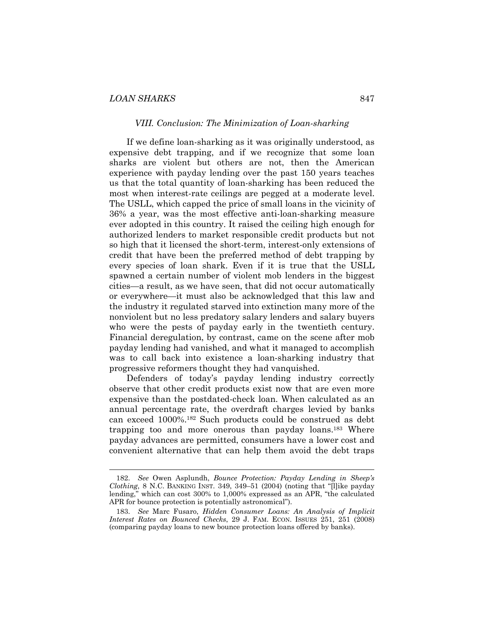l

#### *VIII. Conclusion: The Minimization of Loan-sharking*

If we define loan-sharking as it was originally understood, as expensive debt trapping, and if we recognize that some loan sharks are violent but others are not, then the American experience with payday lending over the past 150 years teaches us that the total quantity of loan-sharking has been reduced the most when interest-rate ceilings are pegged at a moderate level. The USLL, which capped the price of small loans in the vicinity of 36% a year, was the most effective anti-loan-sharking measure ever adopted in this country. It raised the ceiling high enough for authorized lenders to market responsible credit products but not so high that it licensed the short-term, interest-only extensions of credit that have been the preferred method of debt trapping by every species of loan shark. Even if it is true that the USLL spawned a certain number of violent mob lenders in the biggest cities—a result, as we have seen, that did not occur automatically or everywhere—it must also be acknowledged that this law and the industry it regulated starved into extinction many more of the nonviolent but no less predatory salary lenders and salary buyers who were the pests of payday early in the twentieth century. Financial deregulation, by contrast, came on the scene after mob payday lending had vanished, and what it managed to accomplish was to call back into existence a loan-sharking industry that progressive reformers thought they had vanquished.

Defenders of today's payday lending industry correctly observe that other credit products exist now that are even more expensive than the postdated-check loan. When calculated as an annual percentage rate, the overdraft charges levied by banks can exceed 1000%.182 Such products could be construed as debt trapping too and more onerous than payday loans.183 Where payday advances are permitted, consumers have a lower cost and convenient alternative that can help them avoid the debt traps

 <sup>182.</sup> *See* Owen Asplundh, *Bounce Protection: Payday Lending in Sheep's Clothing*, 8 N.C. BANKING INST. 349, 349–51 (2004) (noting that "[l]ike payday lending," which can cost 300% to 1,000% expressed as an APR, "the calculated APR for bounce protection is potentially astronomical").

 <sup>183.</sup> *See* Marc Fusaro, *Hidden Consumer Loans: An Analysis of Implicit Interest Rates on Bounced Checks*, 29 J. FAM. ECON. ISSUES 251, 251 (2008) (comparing payday loans to new bounce protection loans offered by banks).